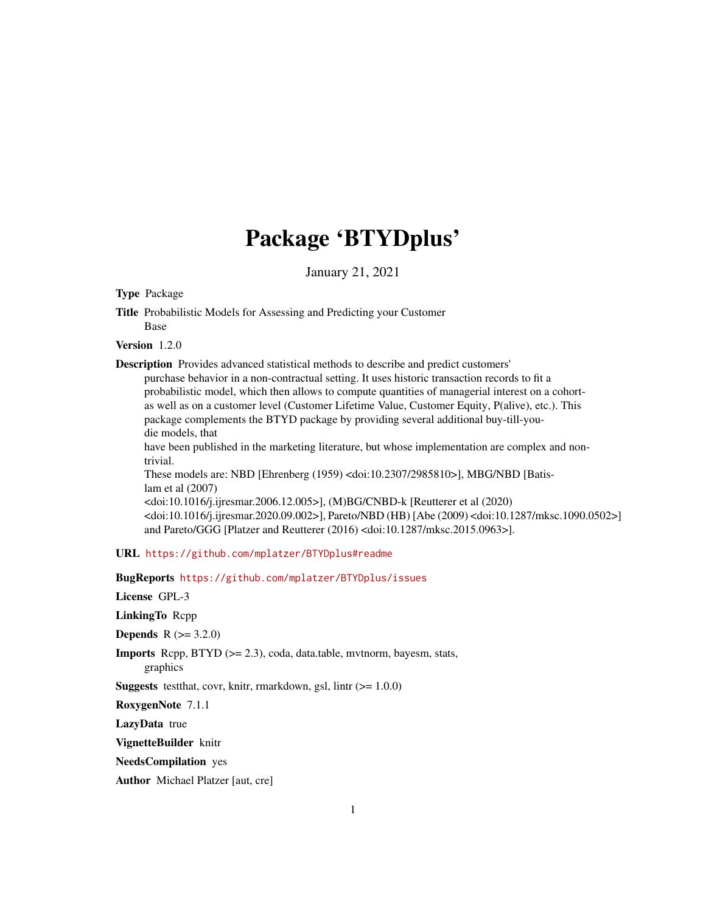# Package 'BTYDplus'

January 21, 2021

<span id="page-0-0"></span>Type Package

Title Probabilistic Models for Assessing and Predicting your Customer Base

Version 1.2.0

Description Provides advanced statistical methods to describe and predict customers' purchase behavior in a non-contractual setting. It uses historic transaction records to fit a probabilistic model, which then allows to compute quantities of managerial interest on a cohortas well as on a customer level (Customer Lifetime Value, Customer Equity, P(alive), etc.). This package complements the BTYD package by providing several additional buy-till-youdie models, that have been published in the marketing literature, but whose implementation are complex and nontrivial. These models are: NBD [Ehrenberg (1959) <doi:10.2307/2985810>], MBG/NBD [Batislam et al (2007) <doi:10.1016/j.ijresmar.2006.12.005>], (M)BG/CNBD-k [Reutterer et al (2020) <doi:10.1016/j.ijresmar.2020.09.002>], Pareto/NBD (HB) [Abe (2009) <doi:10.1287/mksc.1090.0502>] and Pareto/GGG [Platzer and Reutterer (2016) <doi:10.1287/mksc.2015.0963>].

URL <https://github.com/mplatzer/BTYDplus#readme>

BugReports <https://github.com/mplatzer/BTYDplus/issues>

License GPL-3

LinkingTo Rcpp

**Depends** R  $(>= 3.2.0)$ 

Imports Rcpp, BTYD (>= 2.3), coda, data.table, mvtnorm, bayesm, stats,

graphics

**Suggests** test that, covr, knitr, rmarkdown, gsl, lintr  $(>= 1.0.0)$ 

RoxygenNote 7.1.1

LazyData true

VignetteBuilder knitr

NeedsCompilation yes

Author Michael Platzer [aut, cre]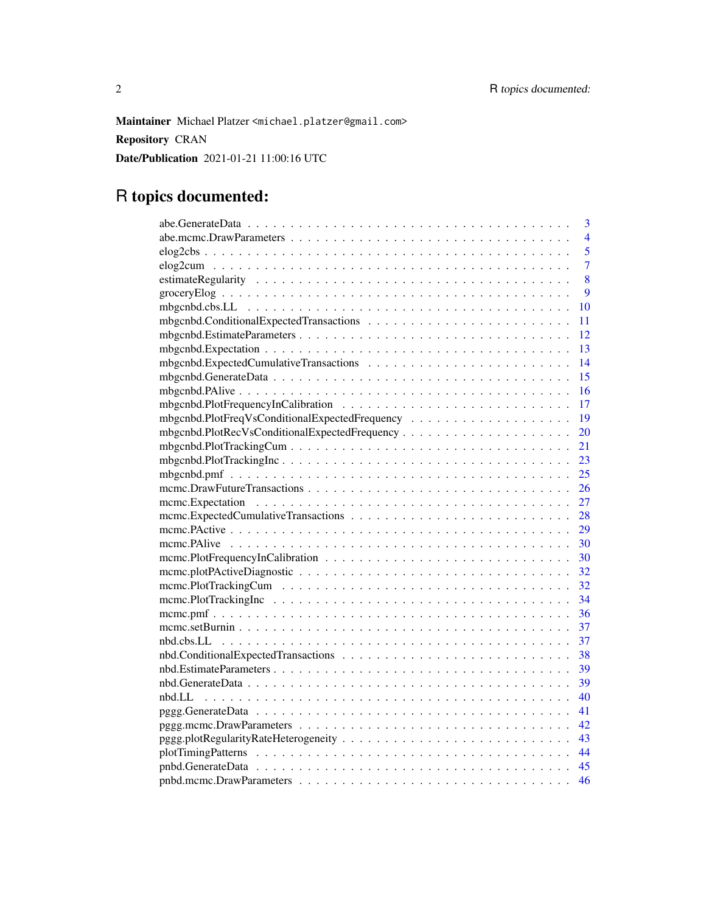Maintainer Michael Platzer <michael.platzer@gmail.com> Repository CRAN Date/Publication 2021-01-21 11:00:16 UTC

## R topics documented:

|                                                                                               | 3              |
|-----------------------------------------------------------------------------------------------|----------------|
|                                                                                               | $\overline{4}$ |
|                                                                                               | 5              |
|                                                                                               | $\overline{7}$ |
|                                                                                               | 8              |
|                                                                                               | 9              |
|                                                                                               | 10             |
|                                                                                               | 11             |
|                                                                                               | 12             |
|                                                                                               | 13             |
|                                                                                               | 14             |
|                                                                                               | 15             |
| $mbgcnbd.PAlive \ldots \ldots \ldots \ldots \ldots \ldots \ldots \ldots \ldots \ldots \ldots$ | 16             |
|                                                                                               | 17             |
|                                                                                               | 19             |
|                                                                                               | 20             |
|                                                                                               | 21             |
|                                                                                               | 23             |
|                                                                                               | 25             |
|                                                                                               | 26             |
|                                                                                               | 27             |
|                                                                                               | 28             |
|                                                                                               | 29             |
|                                                                                               | 30             |
|                                                                                               | 30             |
|                                                                                               | 32             |
|                                                                                               | 32             |
|                                                                                               | 34             |
|                                                                                               | 36             |
|                                                                                               | 37             |
|                                                                                               | 37             |
|                                                                                               | 38             |
|                                                                                               | 39             |
|                                                                                               | 39             |
|                                                                                               | 40             |
|                                                                                               | 41             |
|                                                                                               | 42             |
|                                                                                               | 43             |
|                                                                                               | 44             |
|                                                                                               | 45             |
|                                                                                               | 46             |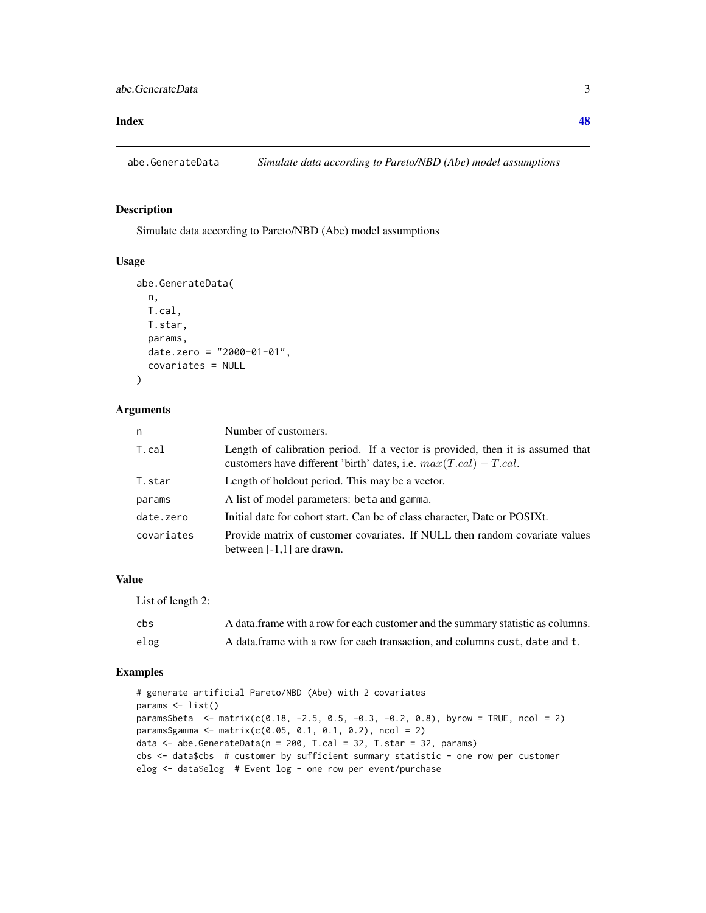#### <span id="page-2-0"></span>**Index a** set of the contract of the contract of the contract of the contract of the contract of the contract of the contract of the contract of the contract of the contract of the contract of the contract of the contrac

<span id="page-2-1"></span>abe.GenerateData *Simulate data according to Pareto/NBD (Abe) model assumptions*

#### Description

Simulate data according to Pareto/NBD (Abe) model assumptions

#### Usage

```
abe.GenerateData(
 n,
 T.cal,
 T.star,
 params,
 date.zero = "2000-01-01",
  covariates = NULL
)
```
#### Arguments

| n          | Number of customers.                                                                                                                                    |
|------------|---------------------------------------------------------------------------------------------------------------------------------------------------------|
| T.cal      | Length of calibration period. If a vector is provided, then it is assumed that<br>customers have different 'birth' dates, i.e. $max(T, cal) - T, cal$ . |
| T.star     | Length of holdout period. This may be a vector.                                                                                                         |
| params     | A list of model parameters: beta and gamma.                                                                                                             |
| date.zero  | Initial date for cohort start. Can be of class character, Date or POSIXt.                                                                               |
| covariates | Provide matrix of customer covariates. If NULL then random covariate values<br>between $[-1,1]$ are drawn.                                              |

#### Value

List of length 2:

| cbs  | A data frame with a row for each customer and the summary statistic as columns. |
|------|---------------------------------------------------------------------------------|
| elog | A data frame with a row for each transaction, and columns cust, date and t.     |

```
# generate artificial Pareto/NBD (Abe) with 2 covariates
params <- list()
params$beta <- matrix(c(0.18, -2.5, 0.5, -0.3, -0.2, 0.8), byrow = TRUE, ncol = 2)
params$gamma <- matrix(c(0.05, 0.1, 0.1, 0.2), ncol = 2)
data \leq abe.GenerateData(n = 200, T.cal = 32, T.star = 32, params)
cbs <- data$cbs # customer by sufficient summary statistic - one row per customer
elog <- data$elog # Event log - one row per event/purchase
```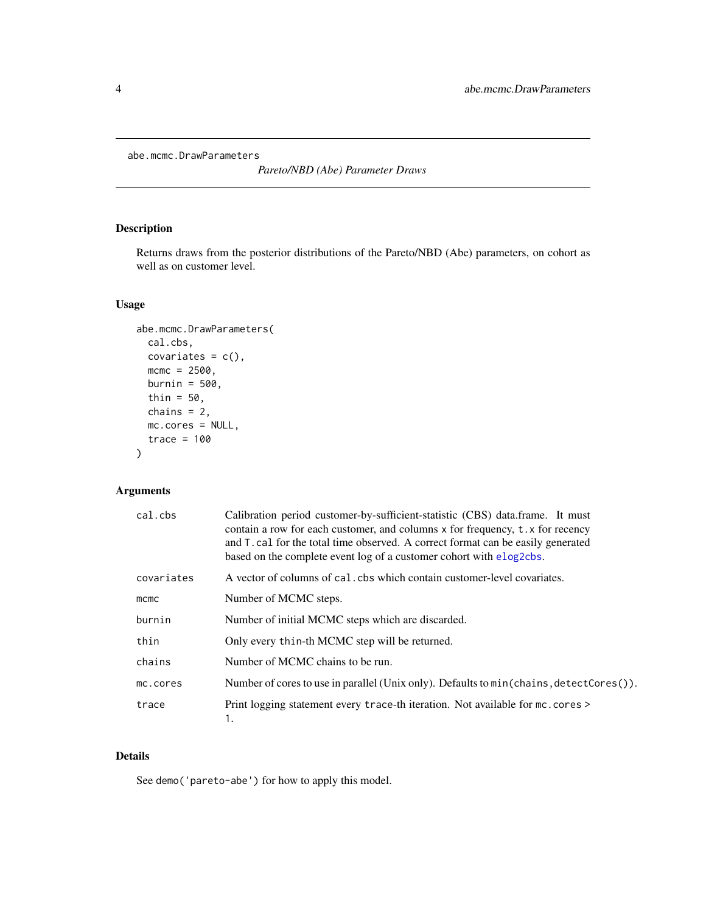```
abe.mcmc.DrawParameters
```
*Pareto/NBD (Abe) Parameter Draws*

#### Description

Returns draws from the posterior distributions of the Pareto/NBD (Abe) parameters, on cohort as well as on customer level.

#### Usage

```
abe.mcmc.DrawParameters(
 cal.cbs,
 covariates = c(),
 mcmc = 2500,
 burnin = 500,
  thin = 50,
 chains = 2,
 mc.cores = NULL,
  trace = 100
\mathcal{L}
```
#### Arguments

| cal.cbs    | Calibration period customer-by-sufficient-statistic (CBS) data.frame. It must<br>contain a row for each customer, and columns x for frequency, t.x for recency<br>and T. cal for the total time observed. A correct format can be easily generated<br>based on the complete event log of a customer cohort with elog2cbs. |
|------------|---------------------------------------------------------------------------------------------------------------------------------------------------------------------------------------------------------------------------------------------------------------------------------------------------------------------------|
| covariates | A vector of columns of cal, cbs which contain customer-level covariates.                                                                                                                                                                                                                                                  |
| mcmc       | Number of MCMC steps.                                                                                                                                                                                                                                                                                                     |
| burnin     | Number of initial MCMC steps which are discarded.                                                                                                                                                                                                                                                                         |
| thin       | Only every thin-th MCMC step will be returned.                                                                                                                                                                                                                                                                            |
| chains     | Number of MCMC chains to be run.                                                                                                                                                                                                                                                                                          |
| mc.cores   | Number of cores to use in parallel (Unix only). Defaults to min (chains, detectCores ()).                                                                                                                                                                                                                                 |
| trace      | Print logging statement every trace-th iteration. Not available for mc.cores ><br>1.                                                                                                                                                                                                                                      |

#### Details

See demo('pareto-abe') for how to apply this model.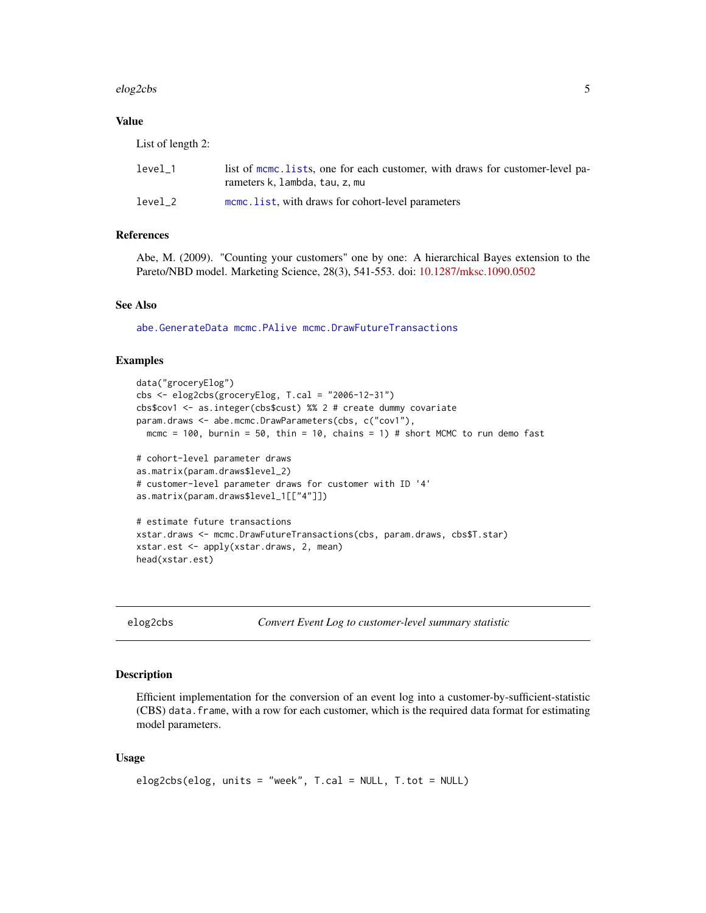#### <span id="page-4-0"></span>elog2cbs 5

#### Value

List of length 2:

| level 1 | list of mome, lists, one for each customer, with draws for customer-level pa- |
|---------|-------------------------------------------------------------------------------|
|         | rameters k, lambda, tau, z, mu                                                |
| level 2 | mcmc. list, with draws for cohort-level parameters                            |

#### References

Abe, M. (2009). "Counting your customers" one by one: A hierarchical Bayes extension to the Pareto/NBD model. Marketing Science, 28(3), 541-553. doi: [10.1287/mksc.1090.0502](https://doi.org/10.1287/mksc.1090.0502)

#### See Also

[abe.GenerateData](#page-2-1) [mcmc.PAlive](#page-29-1) [mcmc.DrawFutureTransactions](#page-25-1)

#### Examples

```
data("groceryElog")
\text{cbs} \leq \text{elog2} \text{cbs} (\text{groceryElog}, T. \text{cal} = "2006-12-31")cbs$cov1 <- as.integer(cbs$cust) %% 2 # create dummy covariate
param.draws <- abe.mcmc.DrawParameters(cbs, c("cov1"),
 mcmc = 100, burnin = 50, thin = 10, chains = 1) # short MCMC to run demo fast
# cohort-level parameter draws
as.matrix(param.draws$level_2)
# customer-level parameter draws for customer with ID '4'
as.matrix(param.draws$level_1[["4"]])
# estimate future transactions
xstar.draws <- mcmc.DrawFutureTransactions(cbs, param.draws, cbs$T.star)
xstar.est <- apply(xstar.draws, 2, mean)
head(xstar.est)
```
<span id="page-4-1"></span>

elog2cbs *Convert Event Log to customer-level summary statistic*

#### Description

Efficient implementation for the conversion of an event log into a customer-by-sufficient-statistic (CBS) data.frame, with a row for each customer, which is the required data format for estimating model parameters.

```
elog2cbs(elog, units = "week", T.cal = NULL, T.tot = NULL)
```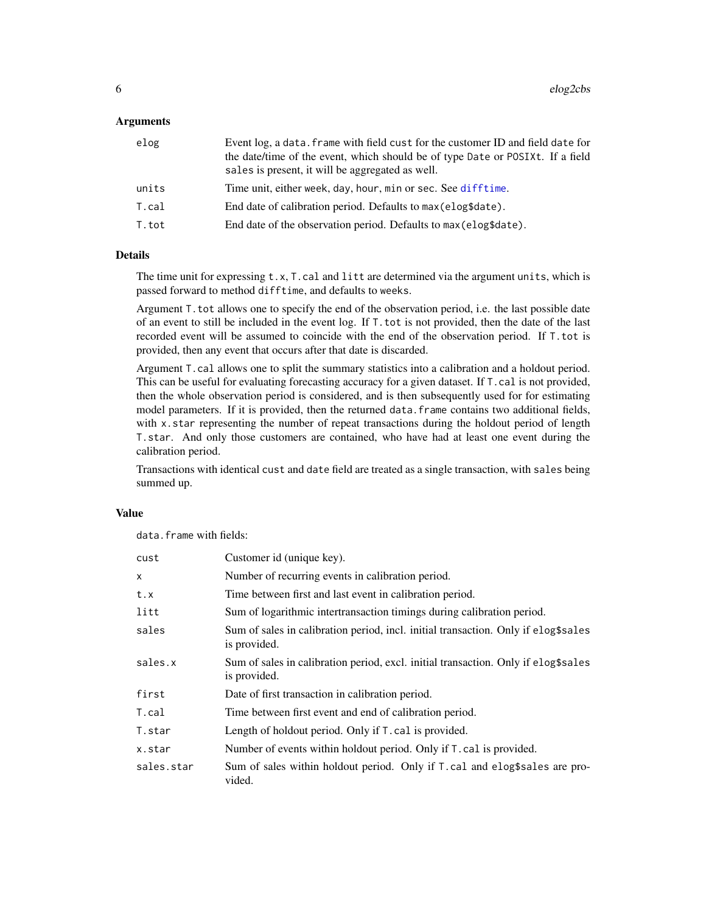<span id="page-5-0"></span>

| elog  | Event log, a data. frame with field cust for the customer ID and field date for<br>the date/time of the event, which should be of type Date or POSIXt. If a field<br>sales is present, it will be aggregated as well. |
|-------|-----------------------------------------------------------------------------------------------------------------------------------------------------------------------------------------------------------------------|
| units | Time unit, either week, day, hour, min or sec. See difftime.                                                                                                                                                          |
| T.cal | End date of calibration period. Defaults to max (elog\$date).                                                                                                                                                         |
| T.tot | End date of the observation period. Defaults to max (elog\$date).                                                                                                                                                     |
|       |                                                                                                                                                                                                                       |

#### Details

The time unit for expressing t.x, T.cal and litt are determined via the argument units, which is passed forward to method difftime, and defaults to weeks.

Argument T.tot allows one to specify the end of the observation period, i.e. the last possible date of an event to still be included in the event log. If T.tot is not provided, then the date of the last recorded event will be assumed to coincide with the end of the observation period. If T.tot is provided, then any event that occurs after that date is discarded.

Argument T.cal allows one to split the summary statistics into a calibration and a holdout period. This can be useful for evaluating forecasting accuracy for a given dataset. If T.cal is not provided, then the whole observation period is considered, and is then subsequently used for for estimating model parameters. If it is provided, then the returned data. frame contains two additional fields, with x.star representing the number of repeat transactions during the holdout period of length T.star. And only those customers are contained, who have had at least one event during the calibration period.

Transactions with identical cust and date field are treated as a single transaction, with sales being summed up.

#### Value

data.frame with fields:

| cust       | Customer id (unique key).                                                                          |
|------------|----------------------------------------------------------------------------------------------------|
| $\times$   | Number of recurring events in calibration period.                                                  |
| t.x        | Time between first and last event in calibration period.                                           |
| litt       | Sum of logarithmic intertransaction timings during calibration period.                             |
| sales      | Sum of sales in calibration period, incl. initial transaction. Only if elog\$sales<br>is provided. |
| sales.x    | Sum of sales in calibration period, excl. initial transaction. Only if elog\$sales<br>is provided. |
| first      | Date of first transaction in calibration period.                                                   |
| T.cal      | Time between first event and end of calibration period.                                            |
| T.star     | Length of holdout period. Only if T. cal is provided.                                              |
| x.star     | Number of events within holdout period. Only if T. cal is provided.                                |
| sales.star | Sum of sales within holdout period. Only if T. cal and elog\$sales are pro-<br>vided.              |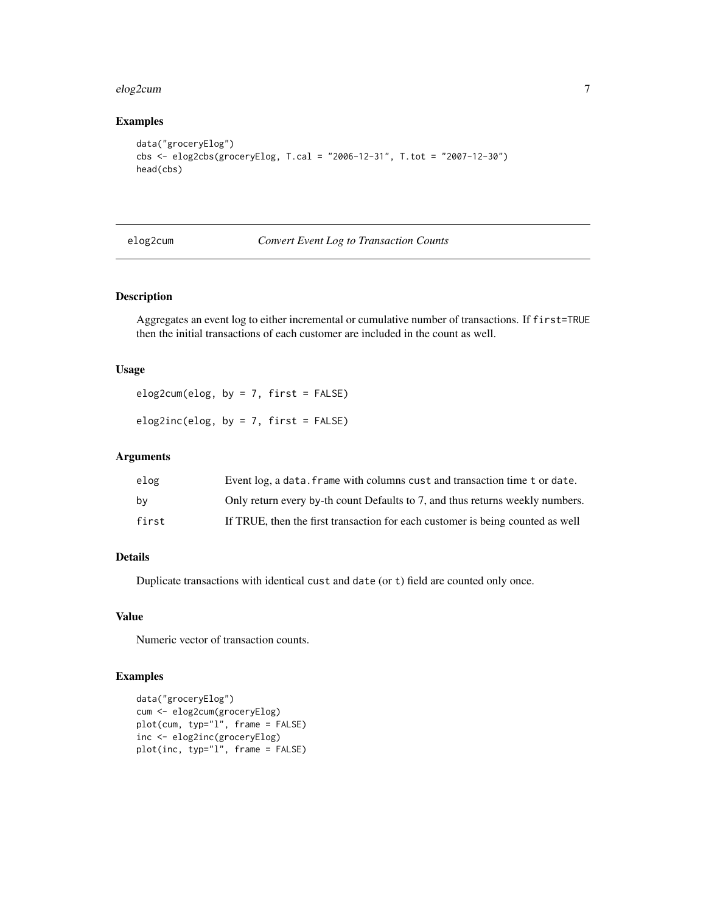#### <span id="page-6-0"></span>elog2cum 7

#### Examples

```
data("groceryElog")
cbs <- elog2cbs(groceryElog, T.cal = "2006-12-31", T.tot = "2007-12-30")
head(cbs)
```
<span id="page-6-1"></span>elog2cum *Convert Event Log to Transaction Counts*

#### <span id="page-6-2"></span>Description

Aggregates an event log to either incremental or cumulative number of transactions. If first=TRUE then the initial transactions of each customer are included in the count as well.

#### Usage

```
elog2cum(elog, by = 7, first = FALSE)
elog2inc(elog, by = 7, first = FALSE)
```
#### Arguments

| elog  | Event log, a data. frame with columns cust and transaction time t or date.     |
|-------|--------------------------------------------------------------------------------|
| bv    | Only return every by-th count Defaults to 7, and thus returns weekly numbers.  |
| first | If TRUE, then the first transaction for each customer is being counted as well |

#### Details

Duplicate transactions with identical cust and date (or t) field are counted only once.

#### Value

Numeric vector of transaction counts.

```
data("groceryElog")
cum <- elog2cum(groceryElog)
plot(cum, typ="l", frame = FALSE)
inc <- elog2inc(groceryElog)
plot(inc, typ="l", frame = FALSE)
```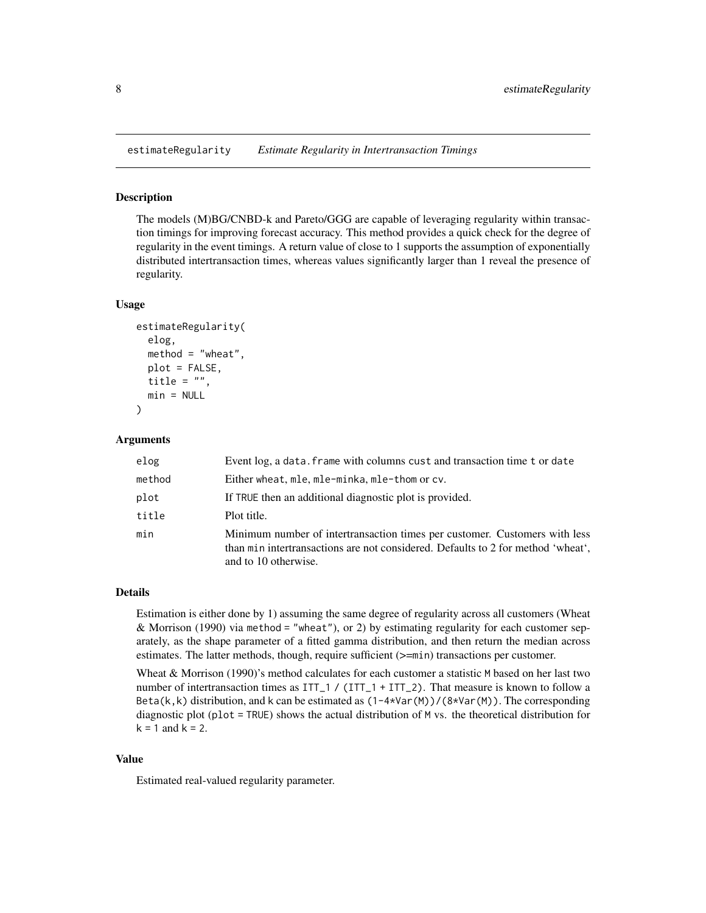<span id="page-7-0"></span>estimateRegularity *Estimate Regularity in Intertransaction Timings*

#### **Description**

The models (M)BG/CNBD-k and Pareto/GGG are capable of leveraging regularity within transaction timings for improving forecast accuracy. This method provides a quick check for the degree of regularity in the event timings. A return value of close to 1 supports the assumption of exponentially distributed intertransaction times, whereas values significantly larger than 1 reveal the presence of regularity.

#### Usage

```
estimateRegularity(
  elog,
  method = "wheel",plot = FALSE,
  title = ",
  min = NULL
)
```
#### Arguments

| elog   | Event log, a data. frame with columns cust and transaction time t or date                                                                                                              |
|--------|----------------------------------------------------------------------------------------------------------------------------------------------------------------------------------------|
| method | Either wheat, mle, mle-minka, mle-thom or cv.                                                                                                                                          |
| plot   | If TRUE then an additional diagnostic plot is provided.                                                                                                                                |
| title  | Plot title.                                                                                                                                                                            |
| min    | Minimum number of intertransaction times per customer. Customers with less<br>than min intertransactions are not considered. Defaults to 2 for method 'wheat',<br>and to 10 otherwise. |

#### Details

Estimation is either done by 1) assuming the same degree of regularity across all customers (Wheat & Morrison (1990) via method = "wheat"), or 2) by estimating regularity for each customer separately, as the shape parameter of a fitted gamma distribution, and then return the median across estimates. The latter methods, though, require sufficient (>=min) transactions per customer.

Wheat & Morrison (1990)'s method calculates for each customer a statistic M based on her last two number of intertransaction times as  $ITI_1 / (ITI_1 + ITI_2)$ . That measure is known to follow a Beta(k,k) distribution, and k can be estimated as  $(1-4*\Var(M))/(8*\Var(M))$ . The corresponding diagnostic plot (plot = TRUE) shows the actual distribution of M vs. the theoretical distribution for  $k = 1$  and  $k = 2$ .

#### Value

Estimated real-valued regularity parameter.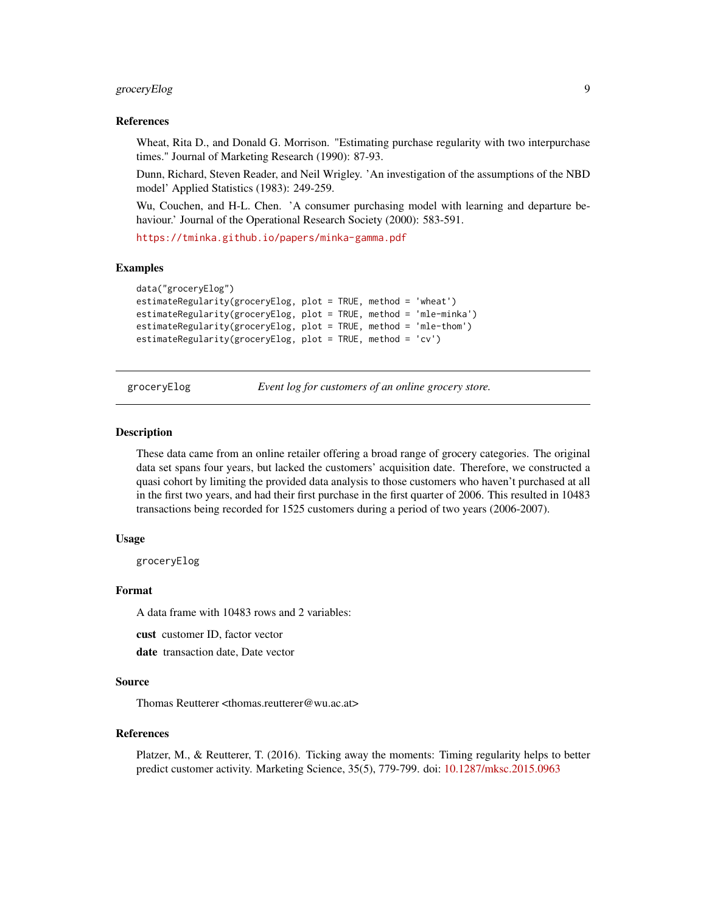#### <span id="page-8-0"></span>groceryElog 9

#### References

Wheat, Rita D., and Donald G. Morrison. "Estimating purchase regularity with two interpurchase times." Journal of Marketing Research (1990): 87-93.

Dunn, Richard, Steven Reader, and Neil Wrigley. 'An investigation of the assumptions of the NBD model' Applied Statistics (1983): 249-259.

Wu, Couchen, and H-L. Chen. 'A consumer purchasing model with learning and departure behaviour.' Journal of the Operational Research Society (2000): 583-591.

<https://tminka.github.io/papers/minka-gamma.pdf>

#### Examples

```
data("groceryElog")
estimateRegularity(groceryElog, plot = TRUE, method = 'wheat')
estimateRegularity(groceryElog, plot = TRUE, method = 'mle-minka')
estimateRegularity(groceryElog, plot = TRUE, method = 'mle-thom')
estimateRegularity(groceryElog, plot = TRUE, method = 'cv')
```
groceryElog *Event log for customers of an online grocery store.*

#### **Description**

These data came from an online retailer offering a broad range of grocery categories. The original data set spans four years, but lacked the customers' acquisition date. Therefore, we constructed a quasi cohort by limiting the provided data analysis to those customers who haven't purchased at all in the first two years, and had their first purchase in the first quarter of 2006. This resulted in 10483 transactions being recorded for 1525 customers during a period of two years (2006-2007).

#### Usage

groceryElog

#### Format

A data frame with 10483 rows and 2 variables:

cust customer ID, factor vector

date transaction date, Date vector

#### Source

Thomas Reutterer <thomas.reutterer@wu.ac.at>

#### References

Platzer, M., & Reutterer, T. (2016). Ticking away the moments: Timing regularity helps to better predict customer activity. Marketing Science, 35(5), 779-799. doi: [10.1287/mksc.2015.0963](https://doi.org/10.1287/mksc.2015.0963)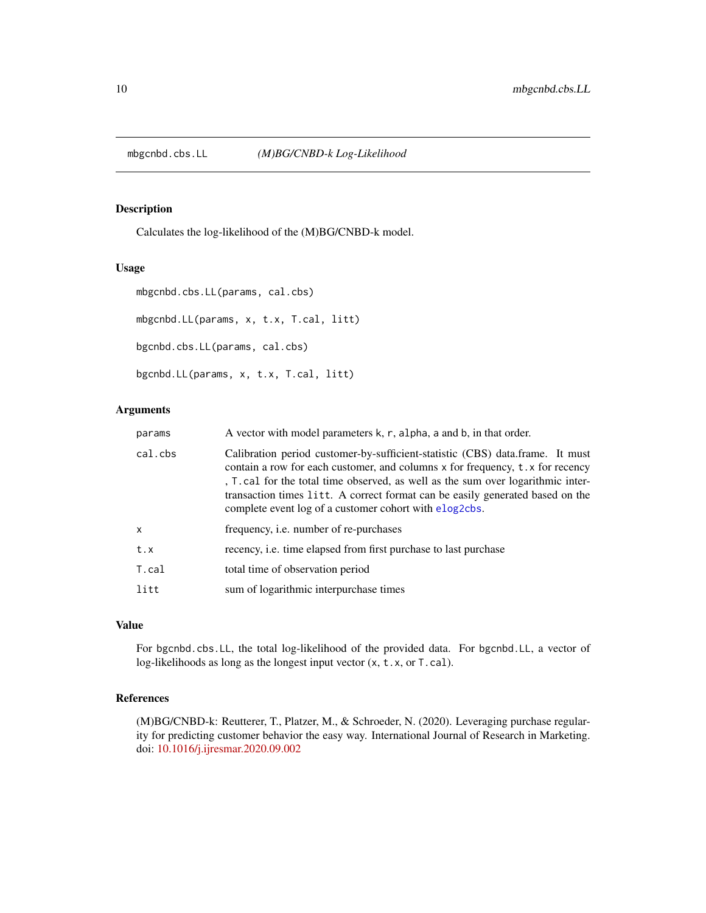<span id="page-9-0"></span>

#### Description

Calculates the log-likelihood of the (M)BG/CNBD-k model.

#### Usage

```
mbgcnbd.cbs.LL(params, cal.cbs)
```
mbgcnbd.LL(params, x, t.x, T.cal, litt)

bgcnbd.cbs.LL(params, cal.cbs)

bgcnbd.LL(params, x, t.x, T.cal, litt)

#### Arguments

| params  | A vector with model parameters k, r, alpha, a and b, in that order.                                                                                                                                                                                                                                                                                                                                     |
|---------|---------------------------------------------------------------------------------------------------------------------------------------------------------------------------------------------------------------------------------------------------------------------------------------------------------------------------------------------------------------------------------------------------------|
| cal.cbs | Calibration period customer-by-sufficient-statistic (CBS) data.frame. It must<br>contain a row for each customer, and columns $x$ for frequency, $t \cdot x$ for recency<br>, T. cal for the total time observed, as well as the sum over logarithmic inter-<br>transaction times litt. A correct format can be easily generated based on the<br>complete event log of a customer cohort with elog2cbs. |
| X       | frequency, <i>i.e.</i> number of re-purchases                                                                                                                                                                                                                                                                                                                                                           |
| t.x     | recency, <i>i.e.</i> time elapsed from first purchase to last purchase                                                                                                                                                                                                                                                                                                                                  |
| T.cal   | total time of observation period                                                                                                                                                                                                                                                                                                                                                                        |
| litt    | sum of logarithmic interpurchase times                                                                                                                                                                                                                                                                                                                                                                  |
|         |                                                                                                                                                                                                                                                                                                                                                                                                         |

#### Value

For bgcnbd.cbs.LL, the total log-likelihood of the provided data. For bgcnbd.LL, a vector of log-likelihoods as long as the longest input vector (x, t.x, or T.cal).

#### References

(M)BG/CNBD-k: Reutterer, T., Platzer, M., & Schroeder, N. (2020). Leveraging purchase regularity for predicting customer behavior the easy way. International Journal of Research in Marketing. doi: [10.1016/j.ijresmar.2020.09.002](https://doi.org/10.1016/j.ijresmar.2020.09.002)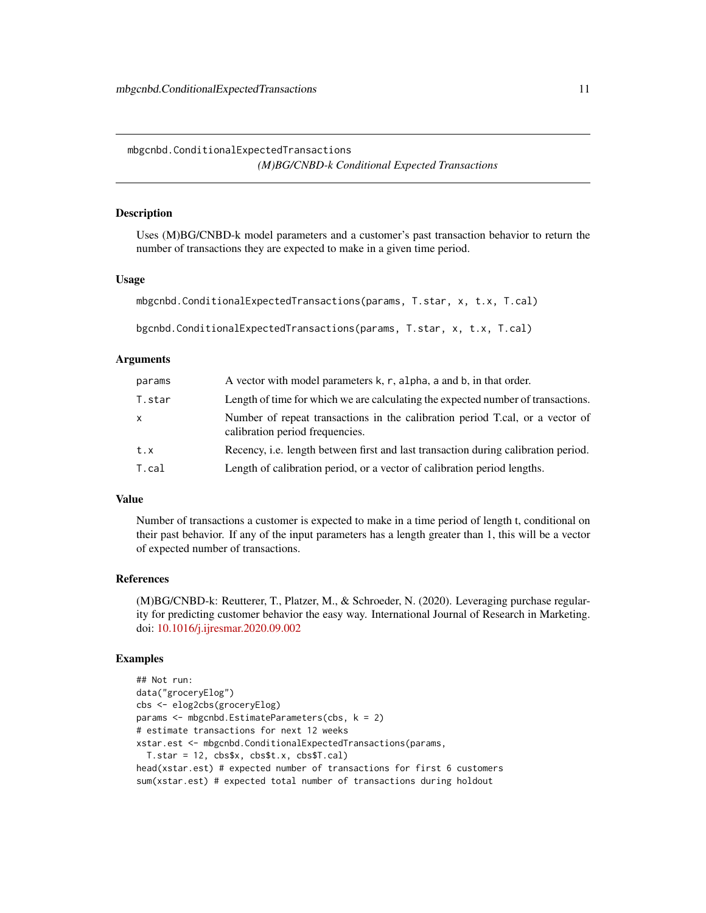<span id="page-10-0"></span>mbgcnbd.ConditionalExpectedTransactions *(M)BG/CNBD-k Conditional Expected Transactions*

#### **Description**

Uses (M)BG/CNBD-k model parameters and a customer's past transaction behavior to return the number of transactions they are expected to make in a given time period.

#### Usage

```
mbgcnbd.ConditionalExpectedTransactions(params, T.star, x, t.x, T.cal)
```

```
bgcnbd.ConditionalExpectedTransactions(params, T.star, x, t.x, T.cal)
```
#### Arguments

| params       | A vector with model parameters k, r, alpha, a and b, in that order.                                              |
|--------------|------------------------------------------------------------------------------------------------------------------|
| T.star       | Length of time for which we are calculating the expected number of transactions.                                 |
| $\mathsf{x}$ | Number of repeat transactions in the calibration period T.cal, or a vector of<br>calibration period frequencies. |
| t.x          | Recency, i.e. length between first and last transaction during calibration period.                               |
| T.cal        | Length of calibration period, or a vector of calibration period lengths.                                         |

#### Value

Number of transactions a customer is expected to make in a time period of length t, conditional on their past behavior. If any of the input parameters has a length greater than 1, this will be a vector of expected number of transactions.

#### References

(M)BG/CNBD-k: Reutterer, T., Platzer, M., & Schroeder, N. (2020). Leveraging purchase regularity for predicting customer behavior the easy way. International Journal of Research in Marketing. doi: [10.1016/j.ijresmar.2020.09.002](https://doi.org/10.1016/j.ijresmar.2020.09.002)

```
## Not run:
data("groceryElog")
cbs <- elog2cbs(groceryElog)
params <- mbgcnbd.EstimateParameters(cbs, k = 2)
# estimate transactions for next 12 weeks
xstar.est <- mbgcnbd.ConditionalExpectedTransactions(params,
 T.star = 12, cbs$x, cbs$t.x, cbs$T.cal)
head(xstar.est) # expected number of transactions for first 6 customers
sum(xstar.est) # expected total number of transactions during holdout
```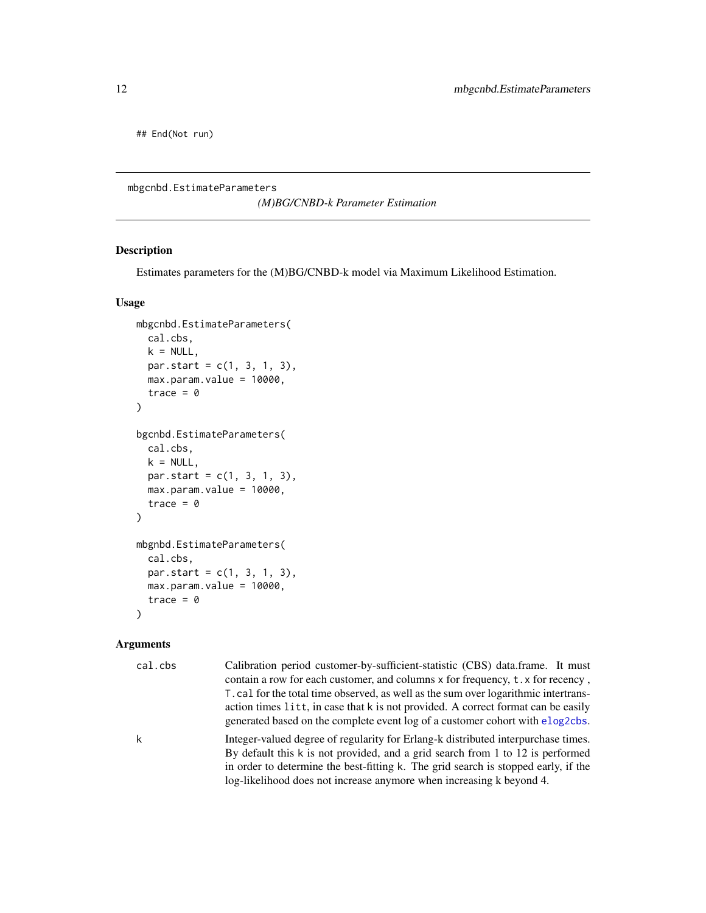<span id="page-11-0"></span>## End(Not run)

mbgcnbd.EstimateParameters *(M)BG/CNBD-k Parameter Estimation*

#### Description

Estimates parameters for the (M)BG/CNBD-k model via Maximum Likelihood Estimation.

#### Usage

```
mbgcnbd.EstimateParameters(
 cal.cbs,
 k = NULL,par.start = c(1, 3, 1, 3),max.param.value = 10000,
  trace = \theta)
bgcnbd.EstimateParameters(
 cal.cbs,
 k = NULL,par.start = c(1, 3, 1, 3),max.param.value = 10000,
  trace = \theta)
mbgnbd.EstimateParameters(
 cal.cbs,
 par.start = c(1, 3, 1, 3),max.param.value = 10000,
  trace = \theta)
```
#### Arguments

| cal.cbs | Calibration period customer-by-sufficient-statistic (CBS) data.frame. It must<br>contain a row for each customer, and columns $x$ for frequency, $t \cdot x$ for recency,<br>T cal for the total time observed, as well as the sum over logarithmic intertrans-<br>action times litt, in case that k is not provided. A correct format can be easily<br>generated based on the complete event log of a customer cohort with elog2cbs. |
|---------|---------------------------------------------------------------------------------------------------------------------------------------------------------------------------------------------------------------------------------------------------------------------------------------------------------------------------------------------------------------------------------------------------------------------------------------|
| k       | Integer-valued degree of regularity for Erlang-k distributed interpurchase times.<br>By default this k is not provided, and a grid search from 1 to 12 is performed<br>in order to determine the best-fitting k. The grid search is stopped early, if the<br>log-likelihood does not increase anymore when increasing k beyond 4.                                                                                                     |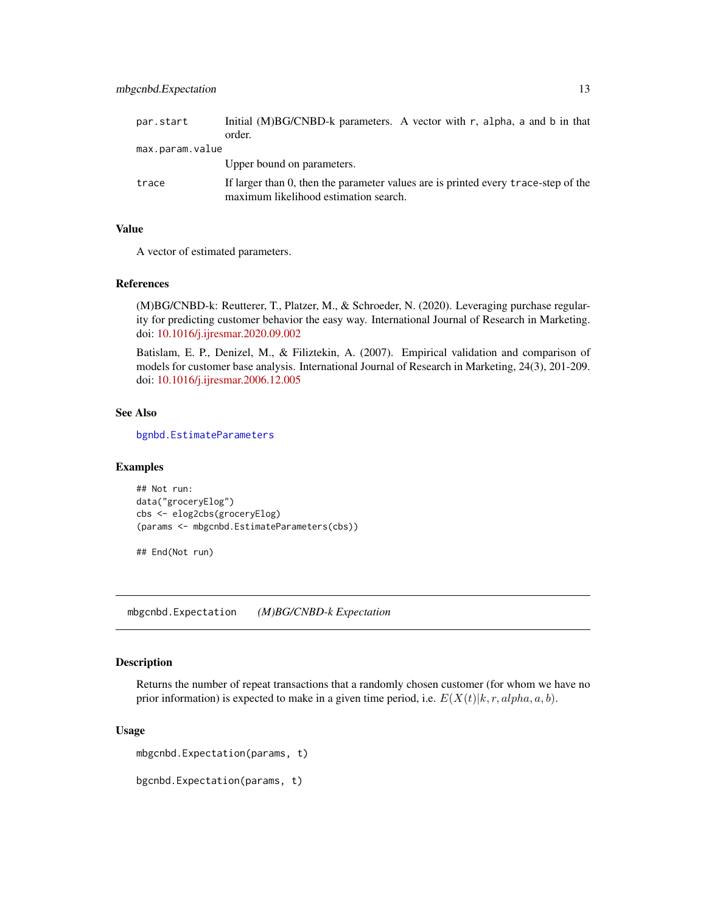<span id="page-12-0"></span>

| par.start       | Initial (M)BG/CNBD-k parameters. A vector with $r$ , alpha, a and b in that                                                 |
|-----------------|-----------------------------------------------------------------------------------------------------------------------------|
|                 | order.                                                                                                                      |
| max.param.value |                                                                                                                             |
|                 | Upper bound on parameters.                                                                                                  |
| trace           | If larger than 0, then the parameter values are is printed every trace-step of the<br>maximum likelihood estimation search. |

#### Value

A vector of estimated parameters.

#### References

(M)BG/CNBD-k: Reutterer, T., Platzer, M., & Schroeder, N. (2020). Leveraging purchase regularity for predicting customer behavior the easy way. International Journal of Research in Marketing. doi: [10.1016/j.ijresmar.2020.09.002](https://doi.org/10.1016/j.ijresmar.2020.09.002)

Batislam, E. P., Denizel, M., & Filiztekin, A. (2007). Empirical validation and comparison of models for customer base analysis. International Journal of Research in Marketing, 24(3), 201-209. doi: [10.1016/j.ijresmar.2006.12.005](https://doi.org/10.1016/j.ijresmar.2006.12.005)

#### See Also

[bgnbd.EstimateParameters](#page-0-0)

#### Examples

```
## Not run:
data("groceryElog")
cbs <- elog2cbs(groceryElog)
(params <- mbgcnbd.EstimateParameters(cbs))
```
## End(Not run)

mbgcnbd.Expectation *(M)BG/CNBD-k Expectation*

#### Description

Returns the number of repeat transactions that a randomly chosen customer (for whom we have no prior information) is expected to make in a given time period, i.e.  $E(X(t)|k, r, alpha, a, b)$ .

#### Usage

```
mbgcnbd.Expectation(params, t)
```
bgcnbd.Expectation(params, t)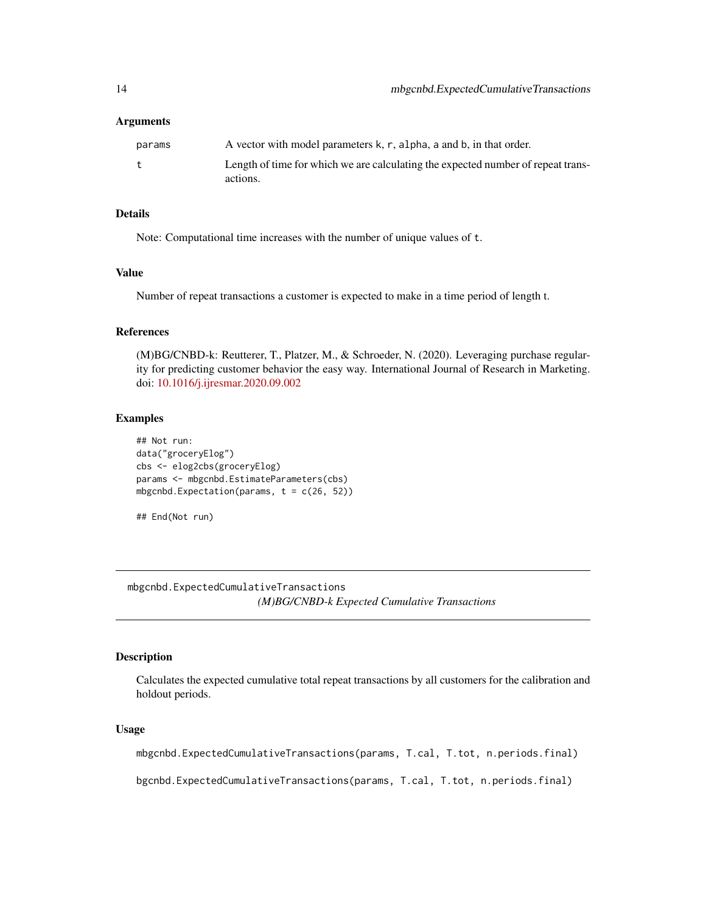<span id="page-13-0"></span>

| params | A vector with model parameters k, r, alpha, a and b, in that order.                          |
|--------|----------------------------------------------------------------------------------------------|
|        | Length of time for which we are calculating the expected number of repeat trans-<br>actions. |

#### Details

Note: Computational time increases with the number of unique values of t.

#### Value

Number of repeat transactions a customer is expected to make in a time period of length t.

#### References

(M)BG/CNBD-k: Reutterer, T., Platzer, M., & Schroeder, N. (2020). Leveraging purchase regularity for predicting customer behavior the easy way. International Journal of Research in Marketing. doi: [10.1016/j.ijresmar.2020.09.002](https://doi.org/10.1016/j.ijresmar.2020.09.002)

#### Examples

```
## Not run:
data("groceryElog")
cbs <- elog2cbs(groceryElog)
params <- mbgcnbd.EstimateParameters(cbs)
mbgcnbd.Expectation(params, t = c(26, 52))
```
## End(Not run)

<span id="page-13-1"></span>mbgcnbd.ExpectedCumulativeTransactions *(M)BG/CNBD-k Expected Cumulative Transactions*

#### Description

Calculates the expected cumulative total repeat transactions by all customers for the calibration and holdout periods.

#### Usage

mbgcnbd.ExpectedCumulativeTransactions(params, T.cal, T.tot, n.periods.final)

bgcnbd.ExpectedCumulativeTransactions(params, T.cal, T.tot, n.periods.final)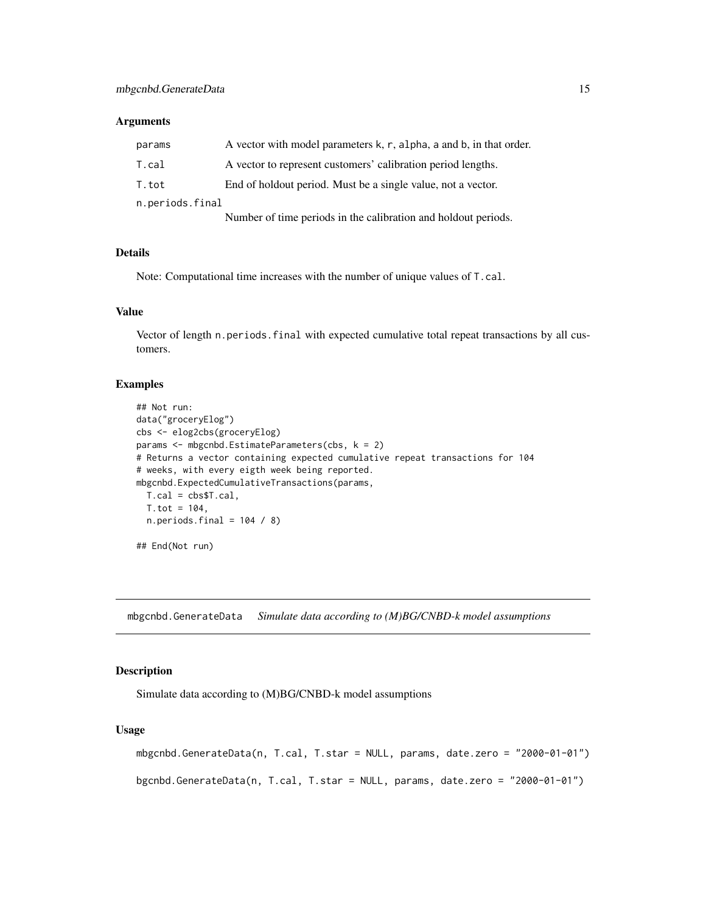<span id="page-14-0"></span>

| params          | A vector with model parameters k, r, alpha, a and b, in that order. |
|-----------------|---------------------------------------------------------------------|
| T.cal           | A vector to represent customers' calibration period lengths.        |
| T.tot           | End of holdout period. Must be a single value, not a vector.        |
| n.periods.final |                                                                     |

Number of time periods in the calibration and holdout periods.

#### Details

Note: Computational time increases with the number of unique values of T.cal.

#### Value

Vector of length n.periods.final with expected cumulative total repeat transactions by all customers.

#### Examples

```
## Not run:
data("groceryElog")
cbs <- elog2cbs(groceryElog)
params <- mbgcnbd.EstimateParameters(cbs, k = 2)
# Returns a vector containing expected cumulative repeat transactions for 104
# weeks, with every eigth week being reported.
mbgcnbd.ExpectedCumulativeTransactions(params,
  T.cal = cbs$T.cal,
 T. tot = 104,n.periods.final = 104 / 8)## End(Not run)
```
mbgcnbd.GenerateData *Simulate data according to (M)BG/CNBD-k model assumptions*

#### Description

Simulate data according to (M)BG/CNBD-k model assumptions

```
mbgcnbd.GenerateData(n, T.cal, T.star = NULL, params, date.zero = "2000-01-01")
bgcnbd.GenerateData(n, T.cal, T.star = NULL, params, date.zero = "2000-01-01")
```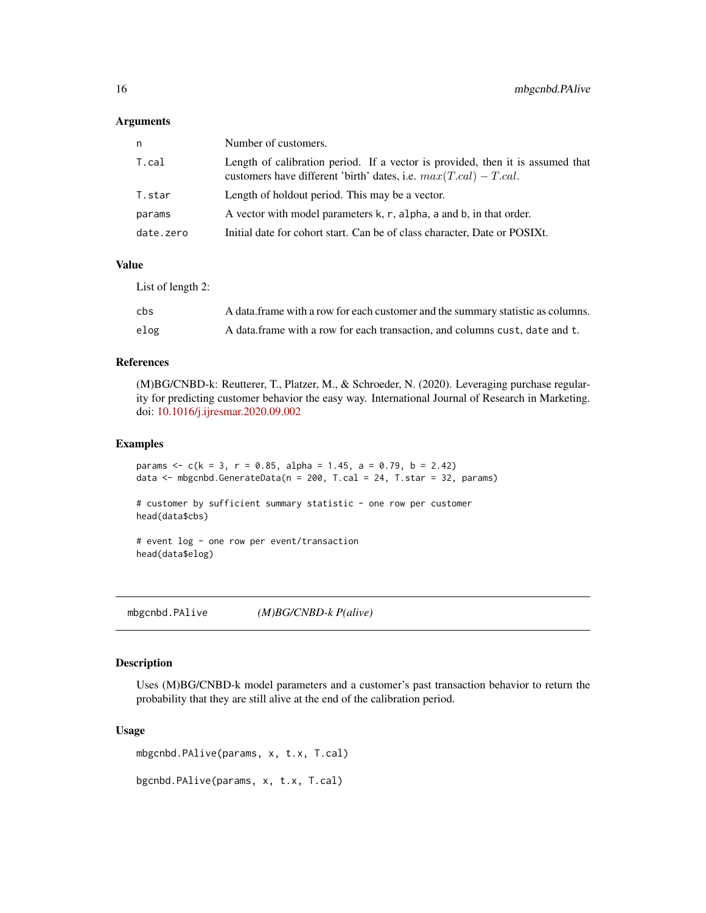<span id="page-15-0"></span>

| n         | Number of customers.                                                                                                                                    |
|-----------|---------------------------------------------------------------------------------------------------------------------------------------------------------|
| T.cal     | Length of calibration period. If a vector is provided, then it is assumed that<br>customers have different 'birth' dates, i.e. $max(T, cal) - T, cal$ . |
| T.star    | Length of holdout period. This may be a vector.                                                                                                         |
| params    | A vector with model parameters k, r, alpha, a and b, in that order.                                                                                     |
| date.zero | Initial date for cohort start. Can be of class character, Date or POSIXt.                                                                               |

#### Value

List of length 2:

| cbs  | A data frame with a row for each customer and the summary statistic as columns. |
|------|---------------------------------------------------------------------------------|
| elog | A data frame with a row for each transaction, and columns cust, date and t.     |

#### References

(M)BG/CNBD-k: Reutterer, T., Platzer, M., & Schroeder, N. (2020). Leveraging purchase regularity for predicting customer behavior the easy way. International Journal of Research in Marketing. doi: [10.1016/j.ijresmar.2020.09.002](https://doi.org/10.1016/j.ijresmar.2020.09.002)

#### Examples

```
params \leq c (k = 3, r = 0.85, alpha = 1.45, a = 0.79, b = 2.42)
data <- mbgcnbd.GenerateData(n = 200, T.cal = 24, T.star = 32, params)
```

```
# customer by sufficient summary statistic - one row per customer
head(data$cbs)
```
# event log - one row per event/transaction head(data\$elog)

mbgcnbd.PAlive *(M)BG/CNBD-k P(alive)*

#### Description

Uses (M)BG/CNBD-k model parameters and a customer's past transaction behavior to return the probability that they are still alive at the end of the calibration period.

```
mbgcnbd.PAlive(params, x, t.x, T.cal)
bgcnbd.PAlive(params, x, t.x, T.cal)
```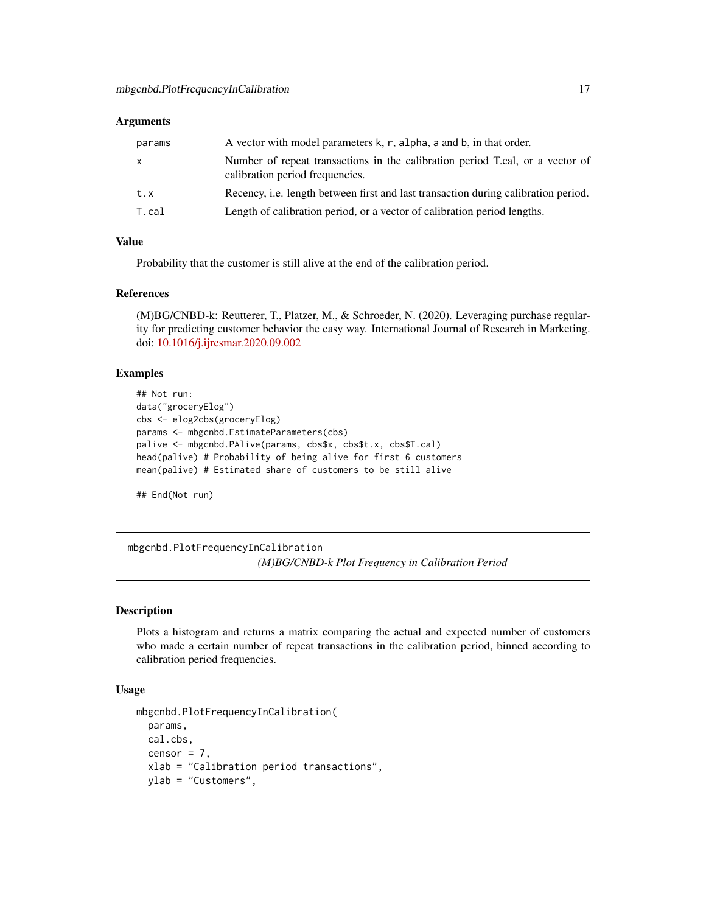<span id="page-16-0"></span>

| params | A vector with model parameters k, r, alpha, a and b, in that order.                                              |
|--------|------------------------------------------------------------------------------------------------------------------|
| X      | Number of repeat transactions in the calibration period T.cal, or a vector of<br>calibration period frequencies. |
| t.x    | Recency, <i>i.e.</i> length between first and last transaction during calibration period.                        |
| T.cal  | Length of calibration period, or a vector of calibration period lengths.                                         |

#### Value

Probability that the customer is still alive at the end of the calibration period.

#### References

(M)BG/CNBD-k: Reutterer, T., Platzer, M., & Schroeder, N. (2020). Leveraging purchase regularity for predicting customer behavior the easy way. International Journal of Research in Marketing. doi: [10.1016/j.ijresmar.2020.09.002](https://doi.org/10.1016/j.ijresmar.2020.09.002)

#### Examples

```
## Not run:
data("groceryElog")
cbs <- elog2cbs(groceryElog)
params <- mbgcnbd.EstimateParameters(cbs)
palive <- mbgcnbd.PAlive(params, cbs$x, cbs$t.x, cbs$T.cal)
head(palive) # Probability of being alive for first 6 customers
mean(palive) # Estimated share of customers to be still alive
```
## End(Not run)

mbgcnbd.PlotFrequencyInCalibration *(M)BG/CNBD-k Plot Frequency in Calibration Period*

#### Description

Plots a histogram and returns a matrix comparing the actual and expected number of customers who made a certain number of repeat transactions in the calibration period, binned according to calibration period frequencies.

```
mbgcnbd.PlotFrequencyInCalibration(
 params,
 cal.cbs,
  censor = 7,
  xlab = "Calibration period transactions",
 ylab = "Customers",
```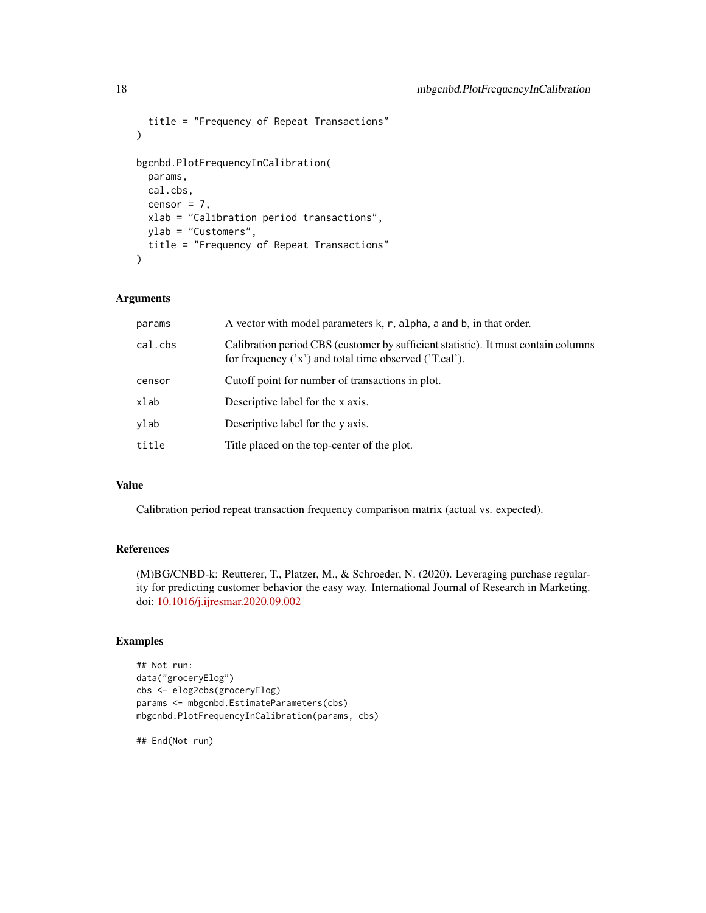```
title = "Frequency of Repeat Transactions"
\lambdabgcnbd.PlotFrequencyInCalibration(
 params,
 cal.cbs,
 censor = 7,
 xlab = "Calibration period transactions",
 ylab = "Customers",
  title = "Frequency of Repeat Transactions"
\mathcal{L}
```

| params  | A vector with model parameters k, r, alpha, a and b, in that order.                                                                             |
|---------|-------------------------------------------------------------------------------------------------------------------------------------------------|
| cal.cbs | Calibration period CBS (customer by sufficient statistic). It must contain columns<br>for frequency $('x')$ and total time observed $('T.ca').$ |
| censor  | Cutoff point for number of transactions in plot.                                                                                                |
| xlab    | Descriptive label for the x axis.                                                                                                               |
| ylab    | Descriptive label for the y axis.                                                                                                               |
| title   | Title placed on the top-center of the plot.                                                                                                     |
|         |                                                                                                                                                 |

#### Value

Calibration period repeat transaction frequency comparison matrix (actual vs. expected).

#### References

(M)BG/CNBD-k: Reutterer, T., Platzer, M., & Schroeder, N. (2020). Leveraging purchase regularity for predicting customer behavior the easy way. International Journal of Research in Marketing. doi: [10.1016/j.ijresmar.2020.09.002](https://doi.org/10.1016/j.ijresmar.2020.09.002)

#### Examples

```
## Not run:
data("groceryElog")
cbs <- elog2cbs(groceryElog)
params <- mbgcnbd.EstimateParameters(cbs)
mbgcnbd.PlotFrequencyInCalibration(params, cbs)
```
## End(Not run)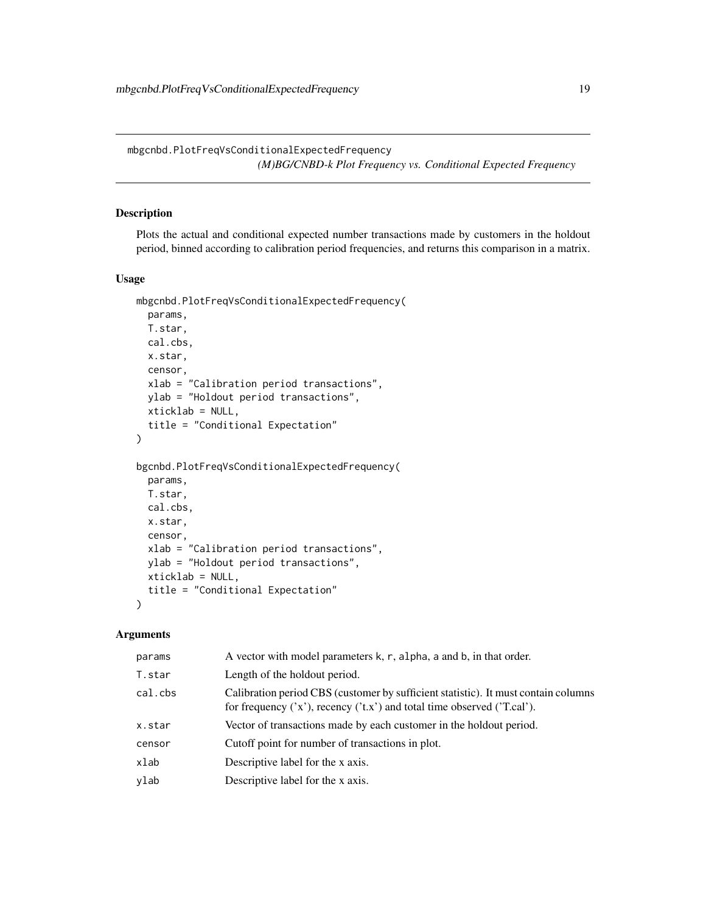<span id="page-18-0"></span>mbgcnbd.PlotFreqVsConditionalExpectedFrequency *(M)BG/CNBD-k Plot Frequency vs. Conditional Expected Frequency*

#### <span id="page-18-1"></span>Description

Plots the actual and conditional expected number transactions made by customers in the holdout period, binned according to calibration period frequencies, and returns this comparison in a matrix.

#### Usage

```
mbgcnbd.PlotFreqVsConditionalExpectedFrequency(
 params,
  T.star,
 cal.cbs,
  x.star,
  censor,
  xlab = "Calibration period transactions",
 ylab = "Holdout period transactions",
 xticklab = NULL,
  title = "Conditional Expectation"
)
bgcnbd.PlotFreqVsConditionalExpectedFrequency(
 params,
 T.star,
 cal.cbs,
 x.star,
  censor,
  xlab = "Calibration period transactions",
 ylab = "Holdout period transactions",
 xticklab = NULL,
  title = "Conditional Expectation"
)
```
#### Arguments

| params  | A vector with model parameters k, r, alpha, a and b, in that order.                                                                                                   |
|---------|-----------------------------------------------------------------------------------------------------------------------------------------------------------------------|
| T.star  | Length of the holdout period.                                                                                                                                         |
| cal.cbs | Calibration period CBS (customer by sufficient statistic). It must contain columns<br>for frequency $('x')$ , recency $('t.x')$ and total time observed $('T.cal')$ . |
| x.star  | Vector of transactions made by each customer in the holdout period.                                                                                                   |
| censor  | Cutoff point for number of transactions in plot.                                                                                                                      |
| xlab    | Descriptive label for the x axis.                                                                                                                                     |
| ylab    | Descriptive label for the x axis.                                                                                                                                     |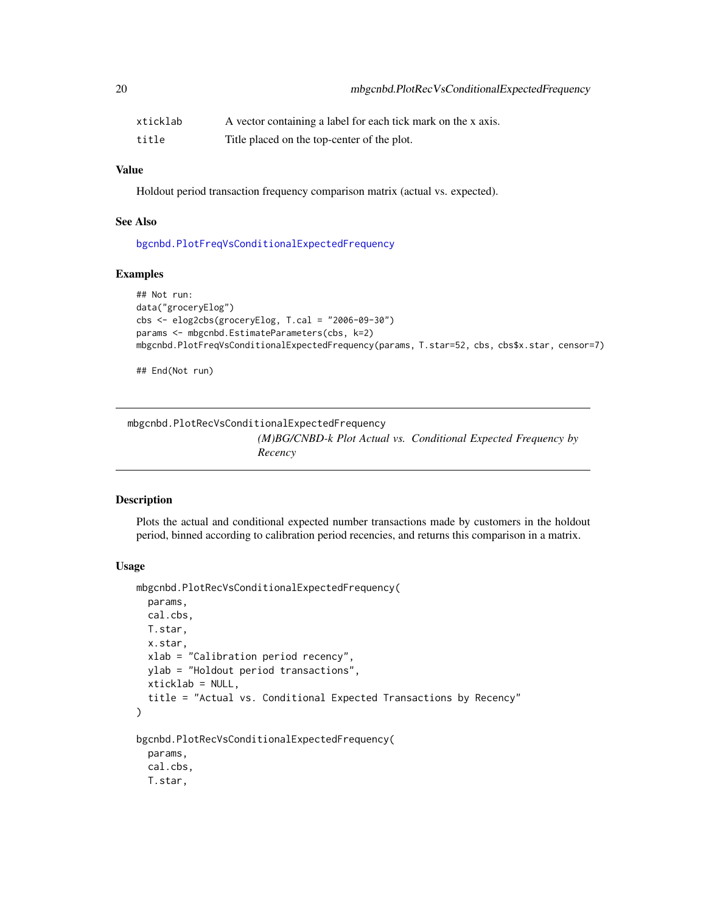<span id="page-19-0"></span>

| xticklab | A vector containing a label for each tick mark on the x axis. |
|----------|---------------------------------------------------------------|
| title    | Title placed on the top-center of the plot.                   |

#### Value

Holdout period transaction frequency comparison matrix (actual vs. expected).

#### See Also

[bgcnbd.PlotFreqVsConditionalExpectedFrequency](#page-18-1)

#### Examples

```
## Not run:
data("groceryElog")
cbs <- elog2cbs(groceryElog, T.cal = "2006-09-30")
params <- mbgcnbd.EstimateParameters(cbs, k=2)
mbgcnbd.PlotFreqVsConditionalExpectedFrequency(params, T.star=52, cbs, cbs$x.star, censor=7)
```
## End(Not run)

mbgcnbd.PlotRecVsConditionalExpectedFrequency *(M)BG/CNBD-k Plot Actual vs. Conditional Expected Frequency by Recency*

#### Description

Plots the actual and conditional expected number transactions made by customers in the holdout period, binned according to calibration period recencies, and returns this comparison in a matrix.

```
mbgcnbd.PlotRecVsConditionalExpectedFrequency(
 params,
 cal.cbs,
 T.star,
 x.star,
  xlab = "Calibration period recency",
 ylab = "Holdout period transactions",
  xticklab = NULL,
  title = "Actual vs. Conditional Expected Transactions by Recency"
)
bgcnbd.PlotRecVsConditionalExpectedFrequency(
 params,
  cal.cbs,
 T.star,
```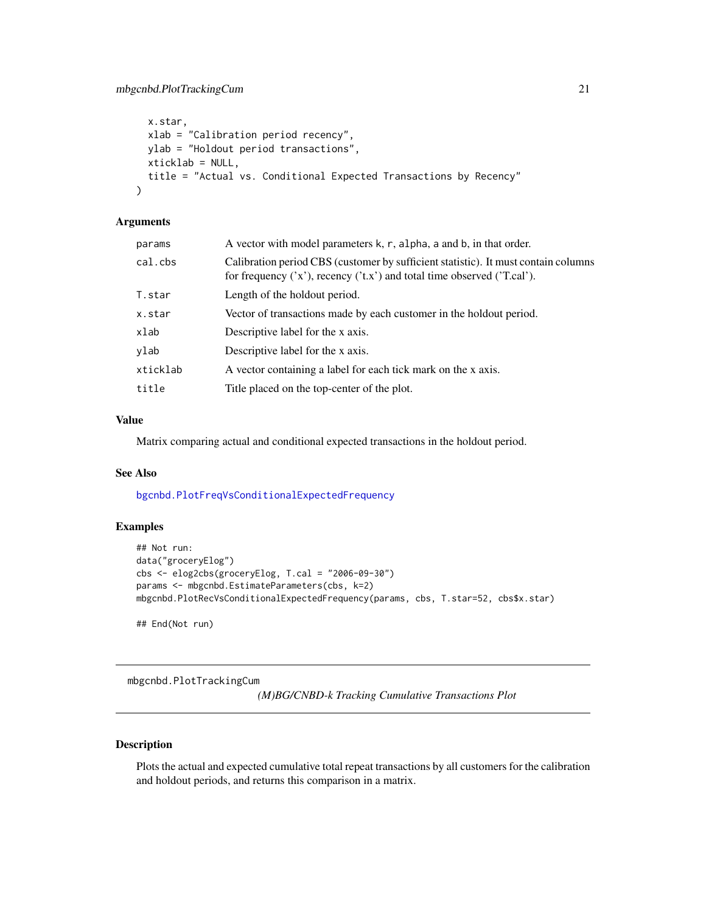#### <span id="page-20-0"></span>mbgcnbd.PlotTrackingCum 21

```
x.star,
 xlab = "Calibration period recency",
 ylab = "Holdout period transactions",
 xticklab = NULL,
 title = "Actual vs. Conditional Expected Transactions by Recency"
)
```
#### Arguments

| params   | A vector with model parameters k, r, alpha, a and b, in that order.                                                                                                   |
|----------|-----------------------------------------------------------------------------------------------------------------------------------------------------------------------|
| cal.cbs  | Calibration period CBS (customer by sufficient statistic). It must contain columns<br>for frequency $('x')$ , recency $('t.x')$ and total time observed $('T.cal')$ . |
| T.star   | Length of the holdout period.                                                                                                                                         |
| x.star   | Vector of transactions made by each customer in the holdout period.                                                                                                   |
| xlab     | Descriptive label for the x axis.                                                                                                                                     |
| ylab     | Descriptive label for the x axis.                                                                                                                                     |
| xticklab | A vector containing a label for each tick mark on the x axis.                                                                                                         |
| title    | Title placed on the top-center of the plot.                                                                                                                           |
|          |                                                                                                                                                                       |

#### Value

Matrix comparing actual and conditional expected transactions in the holdout period.

#### See Also

[bgcnbd.PlotFreqVsConditionalExpectedFrequency](#page-18-1)

#### Examples

```
## Not run:
data("groceryElog")
cbs <- elog2cbs(groceryElog, T.cal = "2006-09-30")
params <- mbgcnbd.EstimateParameters(cbs, k=2)
mbgcnbd.PlotRecVsConditionalExpectedFrequency(params, cbs, T.star=52, cbs$x.star)
```
## End(Not run)

mbgcnbd.PlotTrackingCum

*(M)BG/CNBD-k Tracking Cumulative Transactions Plot*

#### Description

Plots the actual and expected cumulative total repeat transactions by all customers for the calibration and holdout periods, and returns this comparison in a matrix.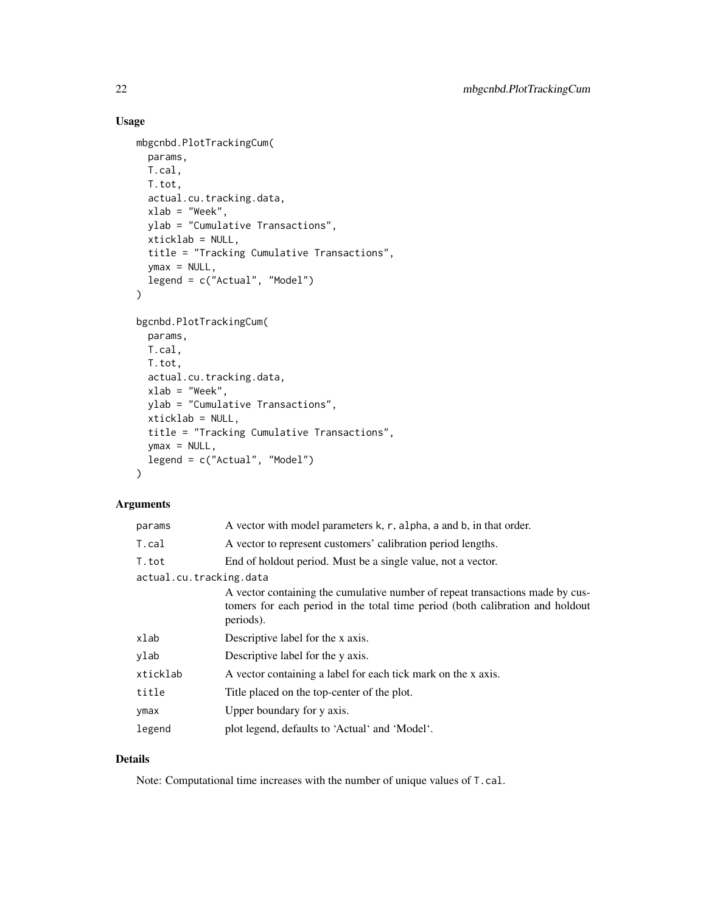#### Usage

```
mbgcnbd.PlotTrackingCum(
 params,
 T.cal,
 T.tot,
  actual.cu.tracking.data,
 xlab = "Week",
 ylab = "Cumulative Transactions",
 xticklab = NULL,
 title = "Tracking Cumulative Transactions",
  ymax = NULL,
  legend = c("Actual", "Model")
\mathcal{L}bgcnbd.PlotTrackingCum(
 params,
 T.cal,
 T.tot,
  actual.cu.tracking.data,
 xlab = "Week",
 ylab = "Cumulative Transactions",
 xticklab = NULL,
  title = "Tracking Cumulative Transactions",
 ymax = NULL,
```
# legend = c("Actual", "Model")

#### Arguments

 $\mathcal{L}$ 

| params                  | A vector with model parameters k, r, alpha, a and b, in that order.                                                                                                         |  |
|-------------------------|-----------------------------------------------------------------------------------------------------------------------------------------------------------------------------|--|
| T.cal                   | A vector to represent customers' calibration period lengths.                                                                                                                |  |
| T.tot                   | End of holdout period. Must be a single value, not a vector.                                                                                                                |  |
| actual.cu.tracking.data |                                                                                                                                                                             |  |
|                         | A vector containing the cumulative number of repeat transactions made by cus-<br>tomers for each period in the total time period (both calibration and holdout<br>periods). |  |
| xlab                    | Descriptive label for the x axis.                                                                                                                                           |  |
| ylab                    | Descriptive label for the y axis.                                                                                                                                           |  |
| xticklab                | A vector containing a label for each tick mark on the x axis.                                                                                                               |  |
| title                   | Title placed on the top-center of the plot.                                                                                                                                 |  |
| ymax                    | Upper boundary for y axis.                                                                                                                                                  |  |
| legend                  | plot legend, defaults to 'Actual' and 'Model'.                                                                                                                              |  |

#### Details

Note: Computational time increases with the number of unique values of T.cal.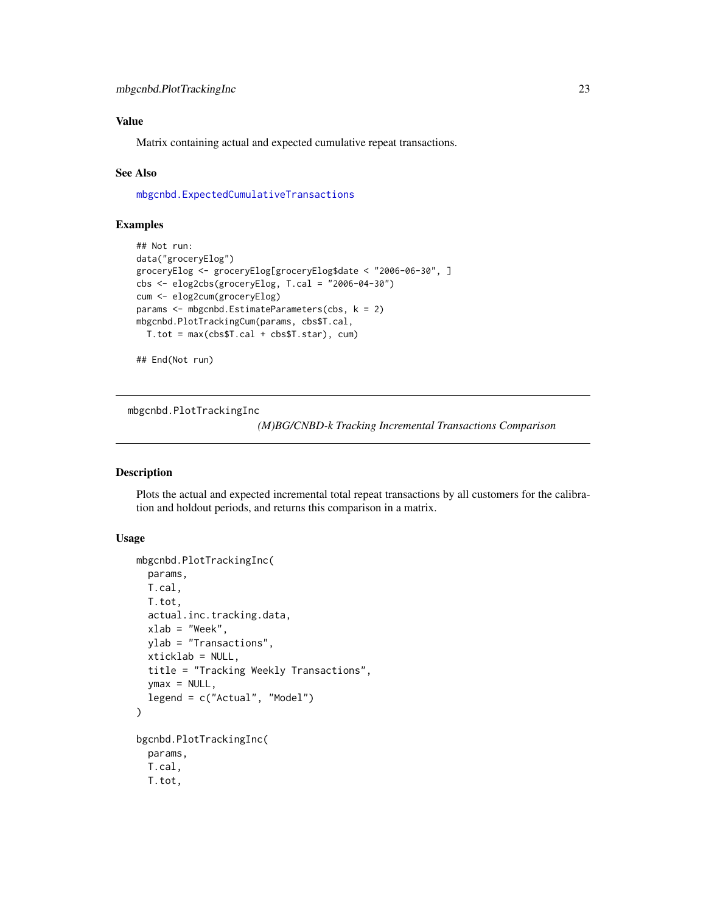#### <span id="page-22-0"></span>Value

Matrix containing actual and expected cumulative repeat transactions.

#### See Also

[mbgcnbd.ExpectedCumulativeTransactions](#page-13-1)

#### Examples

```
## Not run:
data("groceryElog")
groceryElog <- groceryElog[groceryElog$date < "2006-06-30", ]
cbs <- elog2cbs(groceryElog, T.cal = "2006-04-30")
cum <- elog2cum(groceryElog)
params <- mbgcnbd.EstimateParameters(cbs, k = 2)
mbgcnbd.PlotTrackingCum(params, cbs$T.cal,
  T.tot = max(cbs$T.cal + cbs$T.star), cum)
```
## End(Not run)

mbgcnbd.PlotTrackingInc

*(M)BG/CNBD-k Tracking Incremental Transactions Comparison*

#### Description

Plots the actual and expected incremental total repeat transactions by all customers for the calibration and holdout periods, and returns this comparison in a matrix.

```
mbgcnbd.PlotTrackingInc(
 params,
 T.cal,
 T.tot,
  actual.inc.tracking.data,
  xlab = "Week",
 ylab = "Transactions",
  xticklab = NULL,
  title = "Tracking Weekly Transactions",
 ymax = NULL,legend = c("Actual", "Model")
)
bgcnbd.PlotTrackingInc(
 params,
 T.cal,
 T.tot,
```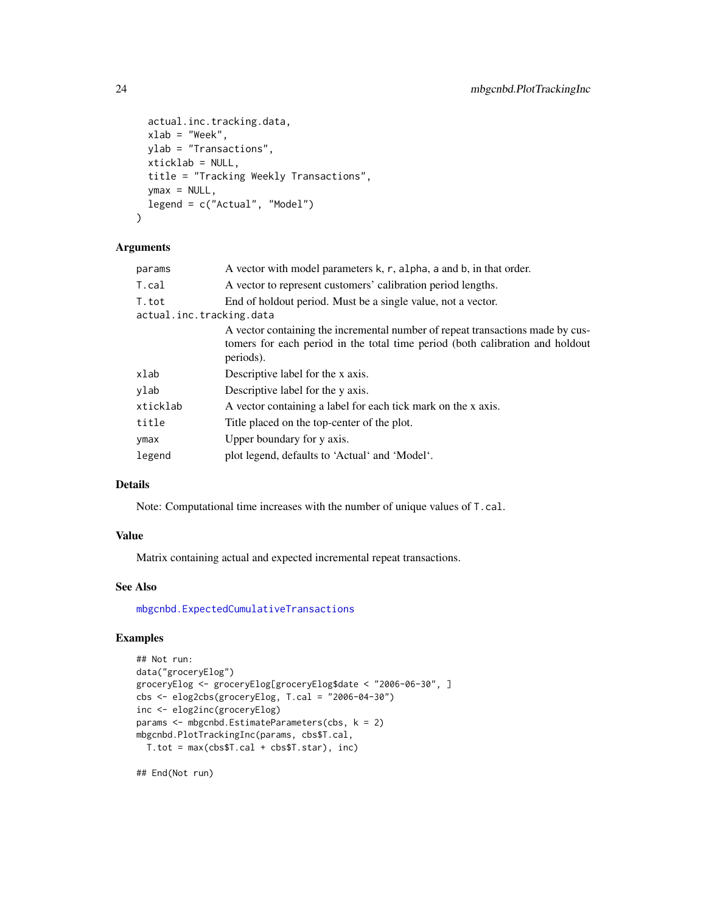```
actual.inc.tracking.data,
 xlab = "Week",
 ylab = "Transactions",
 xticklab = NULL,
 title = "Tracking Weekly Transactions",
 ymax = NULL,legend = c("Actual", "Model")
)
```

| params                   | A vector with model parameters k, r, alpha, a and b, in that order.                                                                                                          |
|--------------------------|------------------------------------------------------------------------------------------------------------------------------------------------------------------------------|
| T.cal                    | A vector to represent customers' calibration period lengths.                                                                                                                 |
| T.tot                    | End of holdout period. Must be a single value, not a vector.                                                                                                                 |
| actual.inc.tracking.data |                                                                                                                                                                              |
|                          | A vector containing the incremental number of repeat transactions made by cus-<br>tomers for each period in the total time period (both calibration and holdout<br>periods). |
| xlab                     | Descriptive label for the x axis.                                                                                                                                            |
| vlab                     | Descriptive label for the y axis.                                                                                                                                            |
| xticklab                 | A vector containing a label for each tick mark on the x axis.                                                                                                                |
| title                    | Title placed on the top-center of the plot.                                                                                                                                  |
| ymax                     | Upper boundary for y axis.                                                                                                                                                   |
| legend                   | plot legend, defaults to 'Actual' and 'Model'.                                                                                                                               |
|                          |                                                                                                                                                                              |

#### Details

Note: Computational time increases with the number of unique values of T.cal.

#### Value

Matrix containing actual and expected incremental repeat transactions.

#### See Also

[mbgcnbd.ExpectedCumulativeTransactions](#page-13-1)

#### Examples

```
## Not run:
data("groceryElog")
groceryElog <- groceryElog[groceryElog$date < "2006-06-30", ]
cbs <- elog2cbs(groceryElog, T.cal = "2006-04-30")
inc <- elog2inc(groceryElog)
params <- mbgcnbd.EstimateParameters(cbs, k = 2)
mbgcnbd.PlotTrackingInc(params, cbs$T.cal,
  T.tot = max(cbs$T.cal + cbs$T.star), inc)
```
## End(Not run)

<span id="page-23-0"></span>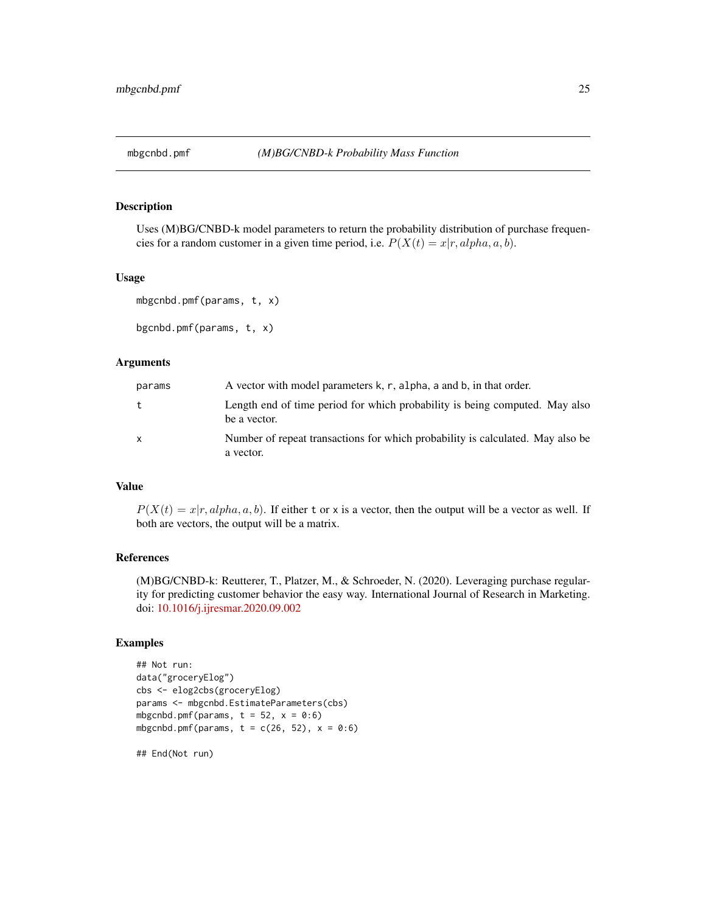<span id="page-24-0"></span>

#### Description

Uses (M)BG/CNBD-k model parameters to return the probability distribution of purchase frequencies for a random customer in a given time period, i.e.  $P(X(t) = x | r, alpha, a, b)$ .

#### Usage

```
mbgcnbd.pmf(params, t, x)
```

```
bgcnbd.pmf(params, t, x)
```
#### Arguments

| params       | A vector with model parameters k, r, alpha, a and b, in that order.                         |
|--------------|---------------------------------------------------------------------------------------------|
| t            | Length end of time period for which probability is being computed. May also<br>be a vector. |
| $\mathsf{x}$ | Number of repeat transactions for which probability is calculated. May also be<br>a vector. |

#### Value

 $P(X(t) = x | r, alpha, a, b)$ . If either t or x is a vector, then the output will be a vector as well. If both are vectors, the output will be a matrix.

#### References

(M)BG/CNBD-k: Reutterer, T., Platzer, M., & Schroeder, N. (2020). Leveraging purchase regularity for predicting customer behavior the easy way. International Journal of Research in Marketing. doi: [10.1016/j.ijresmar.2020.09.002](https://doi.org/10.1016/j.ijresmar.2020.09.002)

#### Examples

```
## Not run:
data("groceryElog")
cbs <- elog2cbs(groceryElog)
params <- mbgcnbd.EstimateParameters(cbs)
mbgcnbd.pmf(params, t = 52, x = 0:6)
mbgcnbd.pmf(params, t = c(26, 52), x = 0:6)
```
## End(Not run)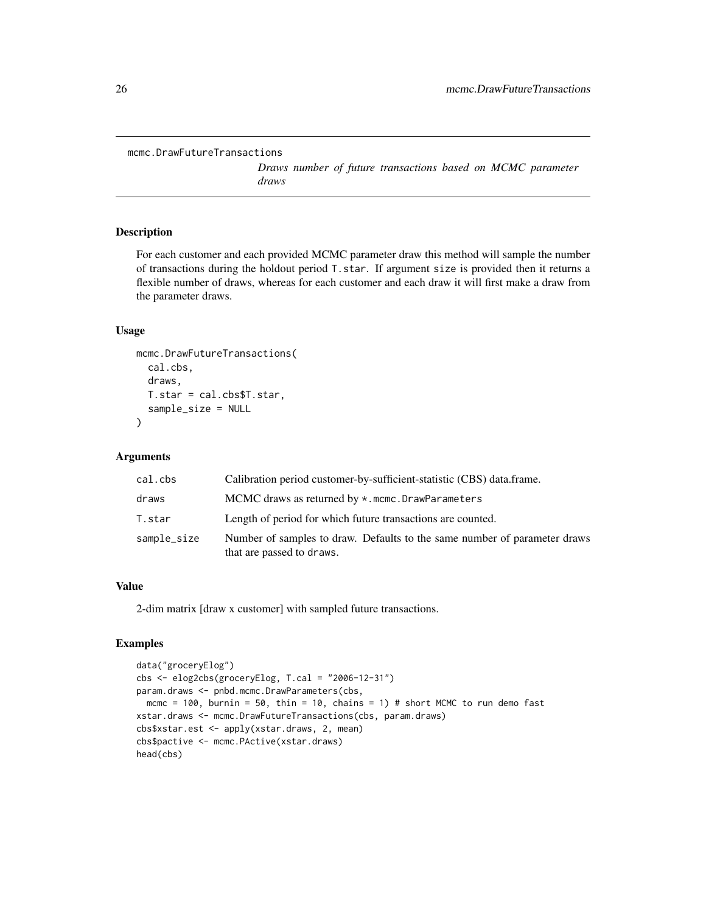```
mcmc.DrawFutureTransactions
```
*Draws number of future transactions based on MCMC parameter draws*

#### Description

For each customer and each provided MCMC parameter draw this method will sample the number of transactions during the holdout period T.star. If argument size is provided then it returns a flexible number of draws, whereas for each customer and each draw it will first make a draw from the parameter draws.

#### Usage

```
mcmc.DrawFutureTransactions(
  cal.cbs,
  draws,
  T.star = cal.cbs$T.star,
  sample_size = NULL
)
```
#### Arguments

| cal.cbs     | Calibration period customer-by-sufficient-statistic (CBS) data.frame.                                  |
|-------------|--------------------------------------------------------------------------------------------------------|
| draws       | MCMC draws as returned by $\star$ . mcmc. DrawParameters                                               |
| T.star      | Length of period for which future transactions are counted.                                            |
| sample_size | Number of samples to draw. Defaults to the same number of parameter draws<br>that are passed to draws. |

#### Value

2-dim matrix [draw x customer] with sampled future transactions.

```
data("groceryElog")
cbs <- elog2cbs(groceryElog, T.cal = "2006-12-31")
param.draws <- pnbd.mcmc.DrawParameters(cbs,
 mcmc = 100, burnin = 50, thin = 10, chains = 1) # short MCMC to run demo fast
xstar.draws <- mcmc.DrawFutureTransactions(cbs, param.draws)
cbs$xstar.est <- apply(xstar.draws, 2, mean)
cbs$pactive <- mcmc.PActive(xstar.draws)
head(cbs)
```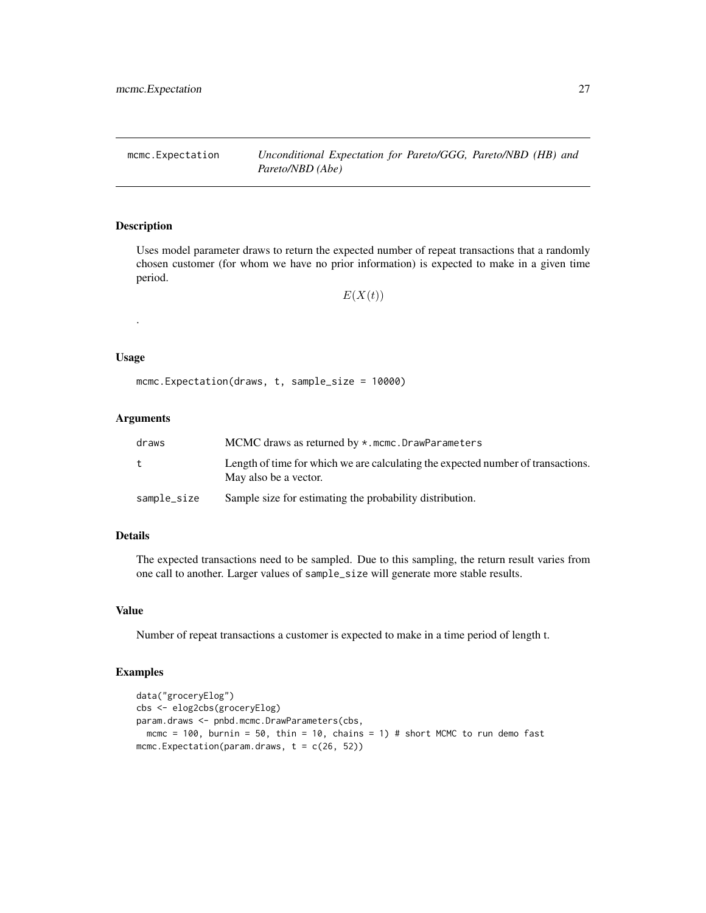<span id="page-26-0"></span>

#### Description

Uses model parameter draws to return the expected number of repeat transactions that a randomly chosen customer (for whom we have no prior information) is expected to make in a given time period.

 $E(X(t))$ 

#### Usage

.

mcmc.Expectation(draws, t, sample\_size = 10000)

#### Arguments

| draws       | MCMC draws as returned by $*$ . mcmc. DrawParameters                                                      |
|-------------|-----------------------------------------------------------------------------------------------------------|
| t.          | Length of time for which we are calculating the expected number of transactions.<br>May also be a vector. |
| sample_size | Sample size for estimating the probability distribution.                                                  |

#### Details

The expected transactions need to be sampled. Due to this sampling, the return result varies from one call to another. Larger values of sample\_size will generate more stable results.

#### Value

Number of repeat transactions a customer is expected to make in a time period of length t.

```
data("groceryElog")
cbs <- elog2cbs(groceryElog)
param.draws <- pnbd.mcmc.DrawParameters(cbs,
  mcmc = 100, burnin = 50, thin = 10, chains = 1) # short MCMC to run demo fast
mcmc.Expectation(param.draws, t = c(26, 52))
```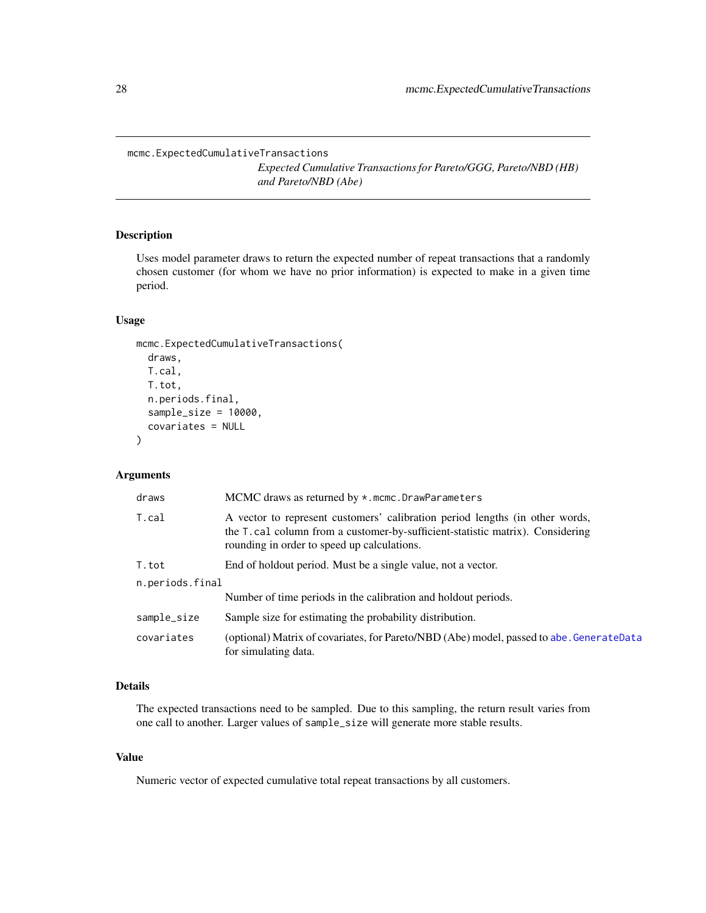<span id="page-27-1"></span><span id="page-27-0"></span>mcmc.ExpectedCumulativeTransactions

*Expected Cumulative Transactions for Pareto/GGG, Pareto/NBD (HB) and Pareto/NBD (Abe)*

#### Description

Uses model parameter draws to return the expected number of repeat transactions that a randomly chosen customer (for whom we have no prior information) is expected to make in a given time period.

#### Usage

```
mcmc.ExpectedCumulativeTransactions(
  draws,
 T.cal,
  T.tot,
  n.periods.final,
  sample_size = 10000,
  covariates = NULL
)
```
#### Arguments

| draws           | MCMC draws as returned by *.mcmc.DrawParameters                                                                                                                                                               |  |
|-----------------|---------------------------------------------------------------------------------------------------------------------------------------------------------------------------------------------------------------|--|
| T.cal           | A vector to represent customers' calibration period lengths (in other words,<br>the T. cal column from a customer-by-sufficient-statistic matrix). Considering<br>rounding in order to speed up calculations. |  |
| T.tot           | End of holdout period. Must be a single value, not a vector.                                                                                                                                                  |  |
| n.periods.final |                                                                                                                                                                                                               |  |
|                 | Number of time periods in the calibration and holdout periods.                                                                                                                                                |  |
| sample_size     | Sample size for estimating the probability distribution.                                                                                                                                                      |  |
| covariates      | (optional) Matrix of covariates, for Pareto/NBD (Abe) model, passed to abe. GenerateData<br>for simulating data.                                                                                              |  |

#### Details

The expected transactions need to be sampled. Due to this sampling, the return result varies from one call to another. Larger values of sample\_size will generate more stable results.

#### Value

Numeric vector of expected cumulative total repeat transactions by all customers.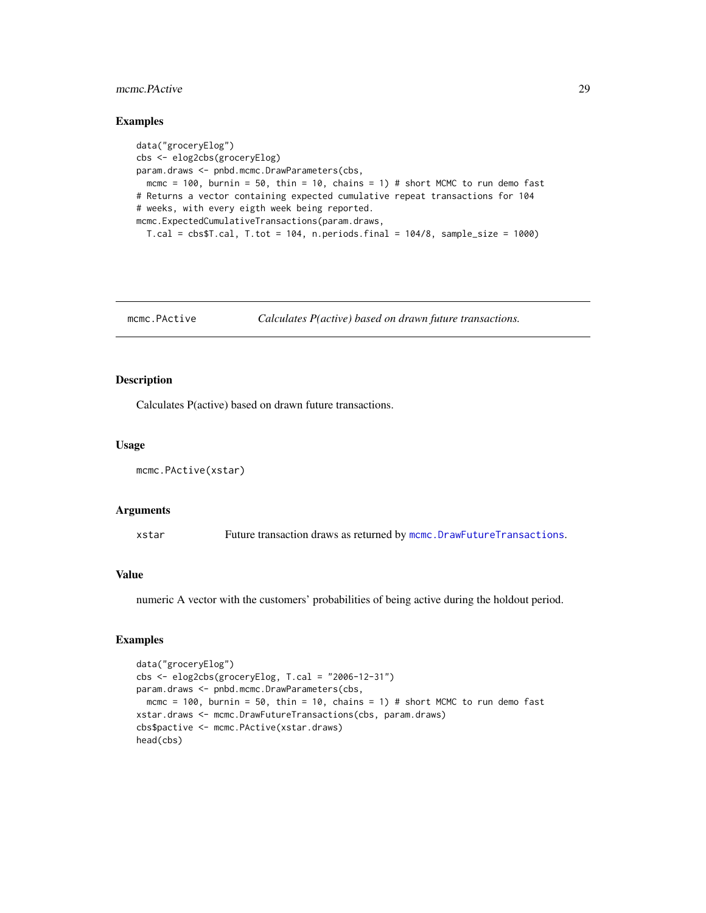#### <span id="page-28-0"></span>mcmc.PActive 29

#### Examples

```
data("groceryElog")
cbs <- elog2cbs(groceryElog)
param.draws <- pnbd.mcmc.DrawParameters(cbs,
  mcmc = 100, burnin = 50, thin = 10, chains = 1) # short MCMC to run demo fast
# Returns a vector containing expected cumulative repeat transactions for 104
# weeks, with every eigth week being reported.
mcmc.ExpectedCumulativeTransactions(param.draws,
  T.cal = cbs$T.ca1, T.tot = 104, n.periods.final = 104/8, sample_size = 1000)
```
mcmc.PActive *Calculates P(active) based on drawn future transactions.*

#### Description

Calculates P(active) based on drawn future transactions.

#### Usage

```
mcmc.PActive(xstar)
```
#### Arguments

xstar Future transaction draws as returned by mcmc. DrawFutureTransactions.

#### Value

numeric A vector with the customers' probabilities of being active during the holdout period.

```
data("groceryElog")
cbs <- elog2cbs(groceryElog, T.cal = "2006-12-31")
param.draws <- pnbd.mcmc.DrawParameters(cbs,
  mcmc = 100, burnin = 50, thin = 10, chains = 1) # short MCMC to run demo fast
xstar.draws <- mcmc.DrawFutureTransactions(cbs, param.draws)
cbs$pactive <- mcmc.PActive(xstar.draws)
head(cbs)
```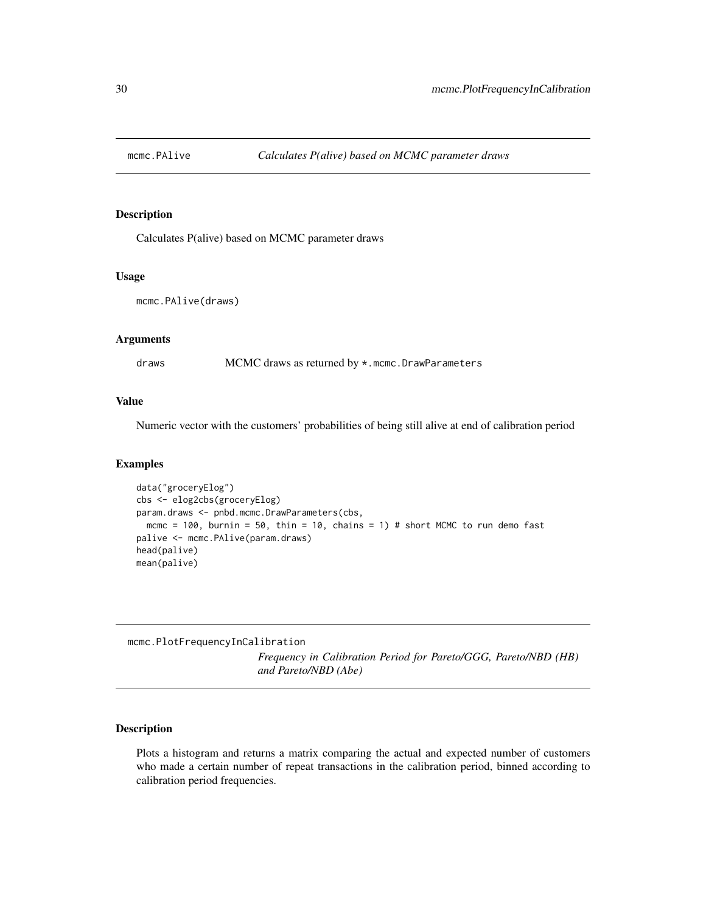<span id="page-29-1"></span><span id="page-29-0"></span>

#### Description

Calculates P(alive) based on MCMC parameter draws

#### Usage

```
mcmc.PAlive(draws)
```
#### Arguments

draws MCMC draws as returned by \*.mcmc.DrawParameters

#### Value

Numeric vector with the customers' probabilities of being still alive at end of calibration period

#### Examples

```
data("groceryElog")
cbs <- elog2cbs(groceryElog)
param.draws <- pnbd.mcmc.DrawParameters(cbs,
  mcmc = 100, burnin = 50, thin = 10, chains = 1) # short MCMC to run demo fast
palive <- mcmc.PAlive(param.draws)
head(palive)
mean(palive)
```
mcmc.PlotFrequencyInCalibration

*Frequency in Calibration Period for Pareto/GGG, Pareto/NBD (HB) and Pareto/NBD (Abe)*

#### Description

Plots a histogram and returns a matrix comparing the actual and expected number of customers who made a certain number of repeat transactions in the calibration period, binned according to calibration period frequencies.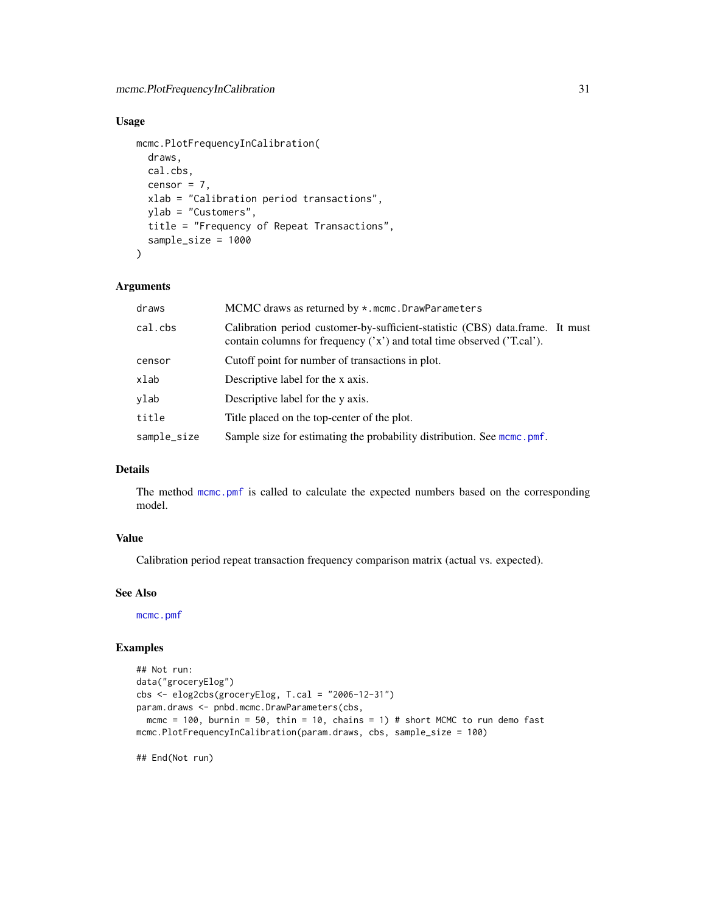#### <span id="page-30-0"></span>Usage

```
mcmc.PlotFrequencyInCalibration(
  draws,
  cal.cbs,
  censor = 7,
 xlab = "Calibration period transactions",
 ylab = "Customers",
  title = "Frequency of Repeat Transactions",
  sample_size = 1000
)
```
#### Arguments

| draws       | MCMC draws as returned by *.mcmc.DrawParameters                                                                                                            |
|-------------|------------------------------------------------------------------------------------------------------------------------------------------------------------|
| cal.cbs     | Calibration period customer-by-sufficient-statistic (CBS) data.frame. It must<br>contain columns for frequency $('x')$ and total time observed $('T.ca').$ |
| censor      | Cutoff point for number of transactions in plot.                                                                                                           |
| xlab        | Descriptive label for the x axis.                                                                                                                          |
| vlab        | Descriptive label for the y axis.                                                                                                                          |
| title       | Title placed on the top-center of the plot.                                                                                                                |
| sample_size | Sample size for estimating the probability distribution. See mcmc.pmf.                                                                                     |
|             |                                                                                                                                                            |

#### Details

The method [mcmc.pmf](#page-35-1) is called to calculate the expected numbers based on the corresponding model.

#### Value

Calibration period repeat transaction frequency comparison matrix (actual vs. expected).

#### See Also

[mcmc.pmf](#page-35-1)

#### Examples

```
## Not run:
data("groceryElog")
cbs <- elog2cbs(groceryElog, T.cal = "2006-12-31")
param.draws <- pnbd.mcmc.DrawParameters(cbs,
 mcmc = 100, burnin = 50, thin = 10, chains = 1) # short MCMC to run demo fast
mcmc.PlotFrequencyInCalibration(param.draws, cbs, sample_size = 100)
```
## End(Not run)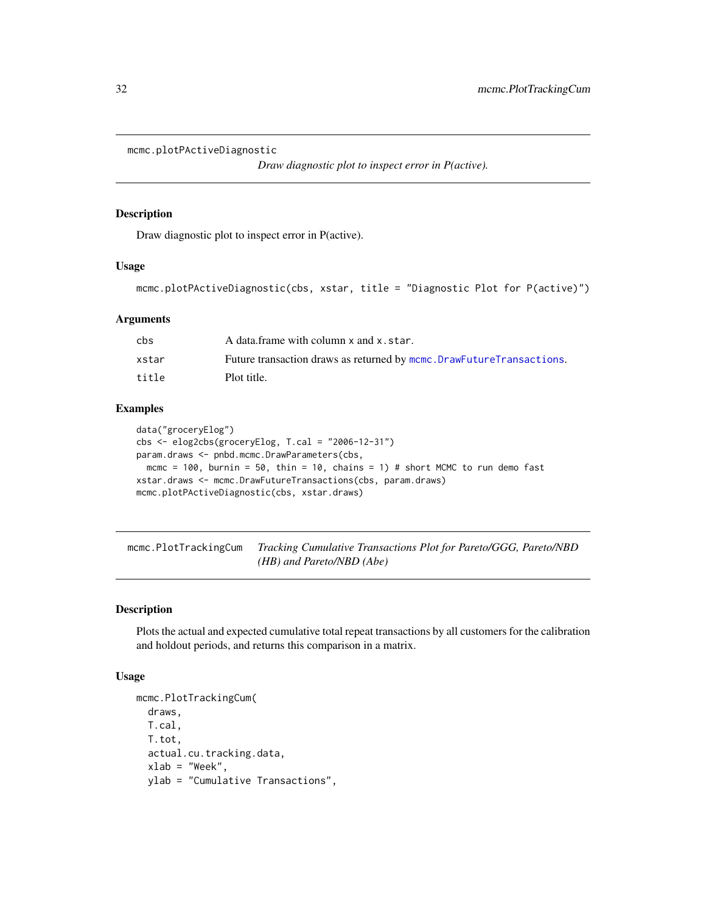```
mcmc.plotPActiveDiagnostic
```
*Draw diagnostic plot to inspect error in P(active).*

#### Description

Draw diagnostic plot to inspect error in P(active).

#### Usage

```
mcmc.plotPActiveDiagnostic(cbs, xstar, title = "Diagnostic Plot for P(active)")
```
#### Arguments

| cbs   | A data.frame with column x and x . star.                              |
|-------|-----------------------------------------------------------------------|
| xstar | Future transaction draws as returned by mcmc. DrawFutureTransactions. |
| title | Plot title.                                                           |

#### Examples

```
data("groceryElog")
cbs <- elog2cbs(groceryElog, T.cal = "2006-12-31")
param.draws <- pnbd.mcmc.DrawParameters(cbs,
  mcmc = 100, burnin = 50, thin = 10, chains = 1) # short MCMC to run demo fast
xstar.draws <- mcmc.DrawFutureTransactions(cbs, param.draws)
mcmc.plotPActiveDiagnostic(cbs, xstar.draws)
```
<span id="page-31-1"></span>mcmc.PlotTrackingCum *Tracking Cumulative Transactions Plot for Pareto/GGG, Pareto/NBD (HB) and Pareto/NBD (Abe)*

#### Description

Plots the actual and expected cumulative total repeat transactions by all customers for the calibration and holdout periods, and returns this comparison in a matrix.

```
mcmc.PlotTrackingCum(
  draws,
  T.cal,
  T.tot,
  actual.cu.tracking.data,
  xlab = "Week",
  ylab = "Cumulative Transactions",
```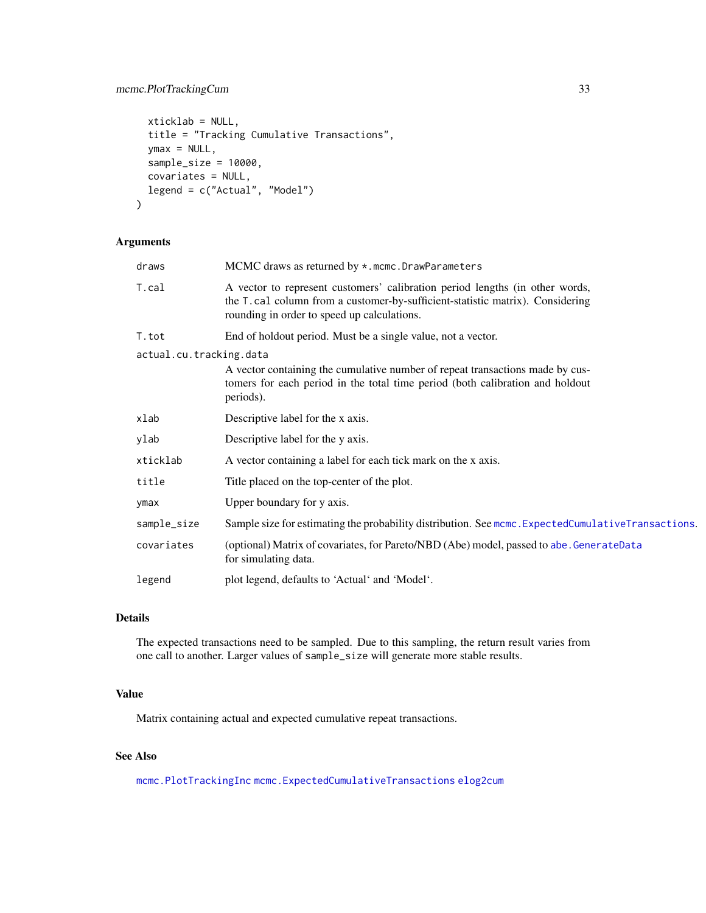```
xticklab = NULL,
 title = "Tracking Cumulative Transactions",
 ymax = NULL,sample_size = 10000,
 covariates = NULL,
 legend = c("Actual", "Model")
)
```

| draws                   | MCMC draws as returned by *.mcmc.DrawParameters                                                                                                                                                               |  |
|-------------------------|---------------------------------------------------------------------------------------------------------------------------------------------------------------------------------------------------------------|--|
| T.cal                   | A vector to represent customers' calibration period lengths (in other words,<br>the T. cal column from a customer-by-sufficient-statistic matrix). Considering<br>rounding in order to speed up calculations. |  |
| T.tot                   | End of holdout period. Must be a single value, not a vector.                                                                                                                                                  |  |
| actual.cu.tracking.data | A vector containing the cumulative number of repeat transactions made by cus-<br>tomers for each period in the total time period (both calibration and holdout<br>periods).                                   |  |
| xlab                    | Descriptive label for the x axis.                                                                                                                                                                             |  |
| ylab                    | Descriptive label for the y axis.                                                                                                                                                                             |  |
| xticklab                | A vector containing a label for each tick mark on the x axis.                                                                                                                                                 |  |
| title                   | Title placed on the top-center of the plot.                                                                                                                                                                   |  |
| ymax                    | Upper boundary for y axis.                                                                                                                                                                                    |  |
| sample_size             | Sample size for estimating the probability distribution. See mcmc. ExpectedCumulativeTransactions.                                                                                                            |  |
| covariates              | (optional) Matrix of covariates, for Pareto/NBD (Abe) model, passed to abe. GenerateData<br>for simulating data.                                                                                              |  |
| legend                  | plot legend, defaults to 'Actual' and 'Model'.                                                                                                                                                                |  |

#### Details

The expected transactions need to be sampled. Due to this sampling, the return result varies from one call to another. Larger values of sample\_size will generate more stable results.

#### Value

Matrix containing actual and expected cumulative repeat transactions.

### See Also

[mcmc.PlotTrackingInc](#page-33-1) [mcmc.ExpectedCumulativeTransactions](#page-27-1) [elog2cum](#page-6-1)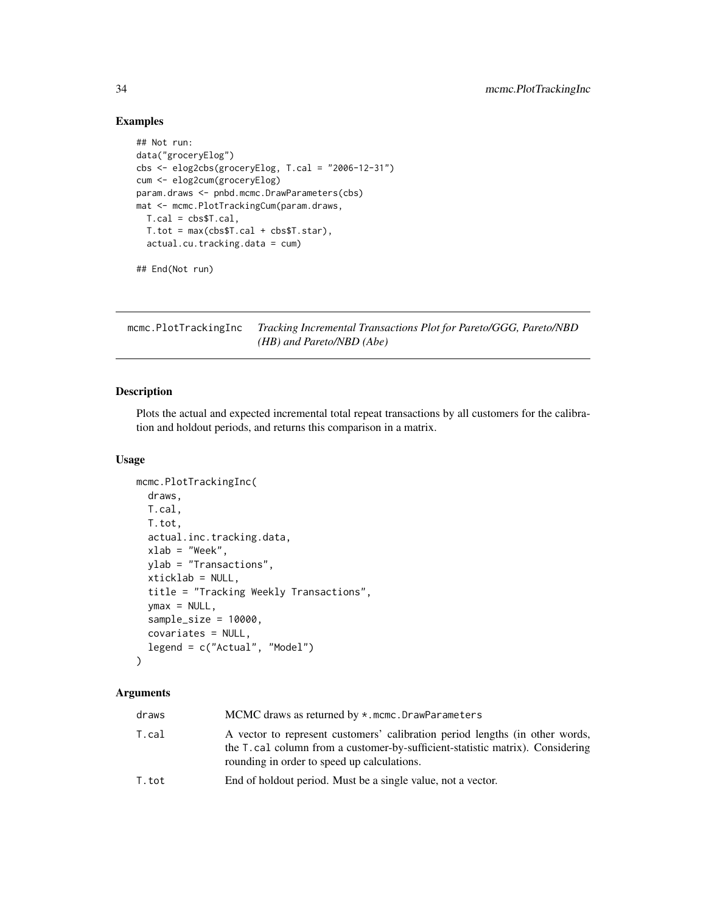#### Examples

```
## Not run:
data("groceryElog")
cbs <- elog2cbs(groceryElog, T.cal = "2006-12-31")
cum <- elog2cum(groceryElog)
param.draws <- pnbd.mcmc.DrawParameters(cbs)
mat <- mcmc.PlotTrackingCum(param.draws,
 T.cal = cbs$T.cal,
  T.tot = max(cbs$T.ca1 + cbs$T.star),actual.cu.tracking.data = cum)
```
## End(Not run)

<span id="page-33-1"></span>mcmc.PlotTrackingInc *Tracking Incremental Transactions Plot for Pareto/GGG, Pareto/NBD (HB) and Pareto/NBD (Abe)*

#### Description

Plots the actual and expected incremental total repeat transactions by all customers for the calibration and holdout periods, and returns this comparison in a matrix.

#### Usage

```
mcmc.PlotTrackingInc(
  draws,
  T.cal,
  T.tot,
  actual.inc.tracking.data,
  xlab = "Week",
 ylab = "Transactions",
  xticklab = NULL,
  title = "Tracking Weekly Transactions",
  ymax = NULL,sample_size = 10000,
  covariates = NULL,
  legend = c("Actual", "Model")
)
```
#### Arguments

| draws | MCMC draws as returned by *.mcmc.DrawParameters                                                                                                                                                               |
|-------|---------------------------------------------------------------------------------------------------------------------------------------------------------------------------------------------------------------|
| T.cal | A vector to represent customers' calibration period lengths (in other words,<br>the T. cal column from a customer-by-sufficient-statistic matrix). Considering<br>rounding in order to speed up calculations. |
| T.tot | End of holdout period. Must be a single value, not a vector.                                                                                                                                                  |

<span id="page-33-0"></span>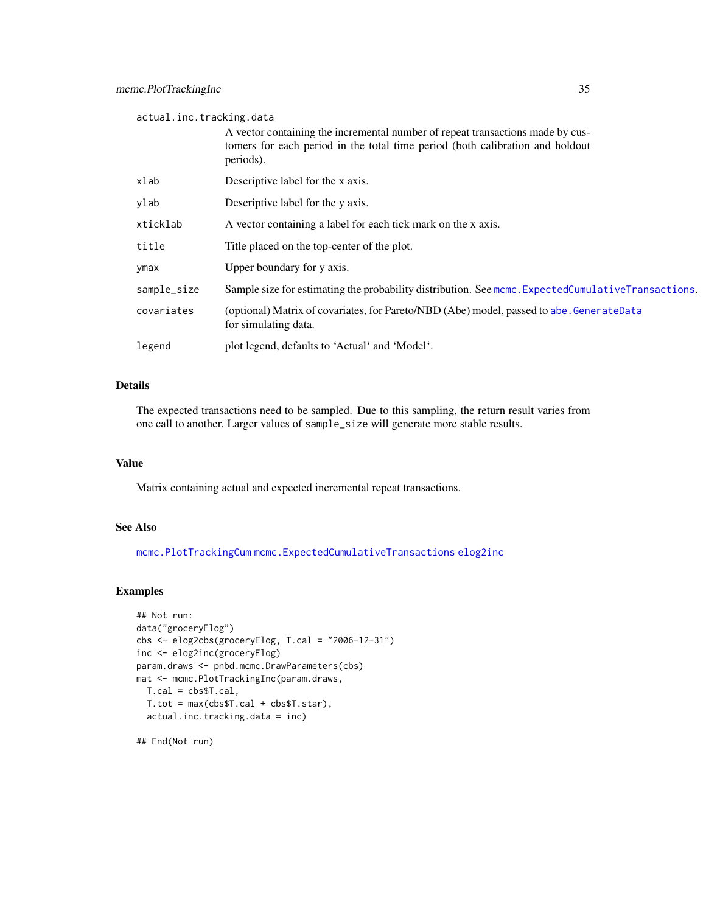<span id="page-34-0"></span>actual.inc.tracking.data

|             | A vector containing the incremental number of repeat transactions made by cus-<br>tomers for each period in the total time period (both calibration and holdout<br>periods). |
|-------------|------------------------------------------------------------------------------------------------------------------------------------------------------------------------------|
| xlab        | Descriptive label for the x axis.                                                                                                                                            |
| ylab        | Descriptive label for the y axis.                                                                                                                                            |
| xticklab    | A vector containing a label for each tick mark on the x axis.                                                                                                                |
| title       | Title placed on the top-center of the plot.                                                                                                                                  |
| ymax        | Upper boundary for y axis.                                                                                                                                                   |
| sample_size | Sample size for estimating the probability distribution. See mcmc. ExpectedCumulativeTransactions.                                                                           |
| covariates  | (optional) Matrix of covariates, for Pareto/NBD (Abe) model, passed to abe. GenerateData<br>for simulating data.                                                             |
| legend      | plot legend, defaults to 'Actual' and 'Model'.                                                                                                                               |

#### Details

The expected transactions need to be sampled. Due to this sampling, the return result varies from one call to another. Larger values of sample\_size will generate more stable results.

#### Value

Matrix containing actual and expected incremental repeat transactions.

#### See Also

[mcmc.PlotTrackingCum](#page-31-1) [mcmc.ExpectedCumulativeTransactions](#page-27-1) [elog2inc](#page-6-2)

```
## Not run:
data("groceryElog")
cbs <- elog2cbs(groceryElog, T.cal = "2006-12-31")
inc <- elog2inc(groceryElog)
param.draws <- pnbd.mcmc.DrawParameters(cbs)
mat <- mcmc.PlotTrackingInc(param.draws,
  T.cal = cbs$T.cal,
 T.tot = max(cbs$T.cal + cbs$T.star),
  actual.inc.tracking.data = inc)
```

```
## End(Not run)
```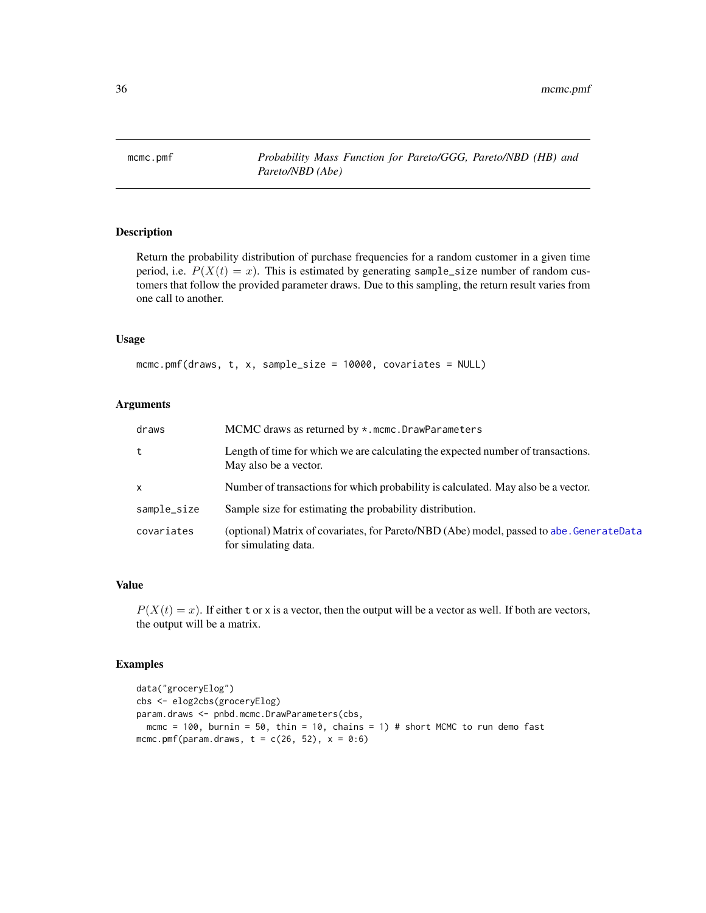<span id="page-35-1"></span><span id="page-35-0"></span>

#### Description

Return the probability distribution of purchase frequencies for a random customer in a given time period, i.e.  $P(X(t) = x)$ . This is estimated by generating sample\_size number of random customers that follow the provided parameter draws. Due to this sampling, the return result varies from one call to another.

#### Usage

```
mcmc.pmf(draws, t, x, sample_size = 10000, covariates = NULL)
```
#### Arguments

| draws        | MCMC draws as returned by $\star$ . mcmc. DrawParameters                                                         |  |
|--------------|------------------------------------------------------------------------------------------------------------------|--|
| t            | Length of time for which we are calculating the expected number of transactions.<br>May also be a vector.        |  |
| $\mathsf{x}$ | Number of transactions for which probability is calculated. May also be a vector.                                |  |
| sample_size  | Sample size for estimating the probability distribution.                                                         |  |
| covariates   | (optional) Matrix of covariates, for Pareto/NBD (Abe) model, passed to abe. GenerateData<br>for simulating data. |  |

#### Value

 $P(X(t) = x)$ . If either t or x is a vector, then the output will be a vector as well. If both are vectors, the output will be a matrix.

```
data("groceryElog")
cbs <- elog2cbs(groceryElog)
param.draws <- pnbd.mcmc.DrawParameters(cbs,
  mcmc = 100, burnin = 50, thin = 10, chains = 1) # short MCMC to run demo fast
mcmc.pmf(param.draws, t = c(26, 52), x = 0:6)
```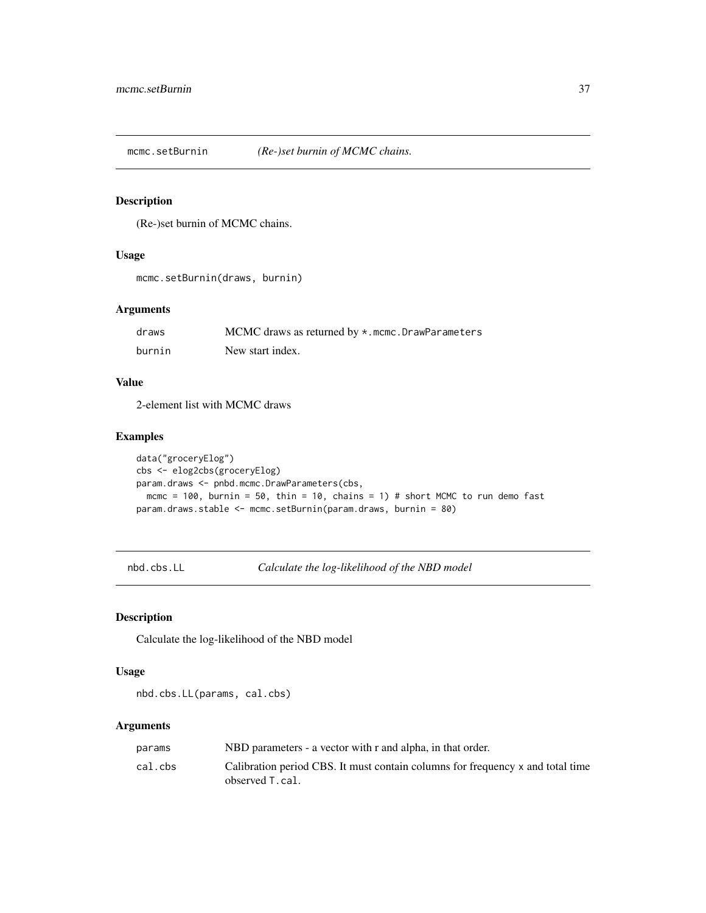<span id="page-36-0"></span>mcmc.setBurnin *(Re-)set burnin of MCMC chains.*

#### Description

(Re-)set burnin of MCMC chains.

#### Usage

```
mcmc.setBurnin(draws, burnin)
```
#### Arguments

| draws  | MCMC draws as returned by *.mcmc.DrawParameters |
|--------|-------------------------------------------------|
| burnin | New start index.                                |

#### Value

2-element list with MCMC draws

#### Examples

```
data("groceryElog")
cbs <- elog2cbs(groceryElog)
param.draws <- pnbd.mcmc.DrawParameters(cbs,
 mcmc = 100, burnin = 50, thin = 10, chains = 1) # short MCMC to run demo fast
param.draws.stable <- mcmc.setBurnin(param.draws, burnin = 80)
```
<span id="page-36-1"></span>nbd.cbs.LL *Calculate the log-likelihood of the NBD model*

#### Description

Calculate the log-likelihood of the NBD model

#### Usage

nbd.cbs.LL(params, cal.cbs)

#### Arguments

| params  | NBD parameters - a vector with r and alpha, in that order.                                         |
|---------|----------------------------------------------------------------------------------------------------|
| cal.cbs | Calibration period CBS. It must contain columns for frequency x and total time<br>observed T. cal. |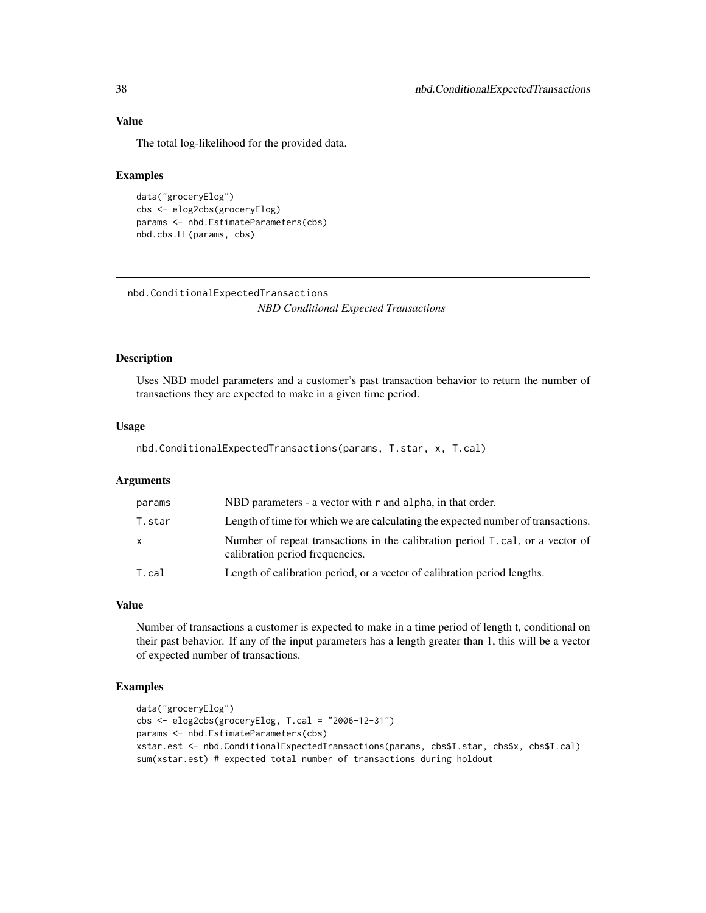#### Value

The total log-likelihood for the provided data.

#### Examples

```
data("groceryElog")
cbs <- elog2cbs(groceryElog)
params <- nbd.EstimateParameters(cbs)
nbd.cbs.LL(params, cbs)
```

```
nbd.ConditionalExpectedTransactions
```
*NBD Conditional Expected Transactions*

#### Description

Uses NBD model parameters and a customer's past transaction behavior to return the number of transactions they are expected to make in a given time period.

#### Usage

```
nbd.ConditionalExpectedTransactions(params, T.star, x, T.cal)
```
#### Arguments

| params       | NBD parameters - a vector with r and alpha, in that order.                                                        |
|--------------|-------------------------------------------------------------------------------------------------------------------|
| T.star       | Length of time for which we are calculating the expected number of transactions.                                  |
| $\mathsf{x}$ | Number of repeat transactions in the calibration period T. cal, or a vector of<br>calibration period frequencies. |
| T.cal        | Length of calibration period, or a vector of calibration period lengths.                                          |

#### Value

Number of transactions a customer is expected to make in a time period of length t, conditional on their past behavior. If any of the input parameters has a length greater than 1, this will be a vector of expected number of transactions.

```
data("groceryElog")
cbs <- elog2cbs(groceryElog, T.cal = "2006-12-31")
params <- nbd.EstimateParameters(cbs)
xstar.est <- nbd.ConditionalExpectedTransactions(params, cbs$T.star, cbs$x, cbs$T.cal)
sum(xstar.est) # expected total number of transactions during holdout
```
<span id="page-37-0"></span>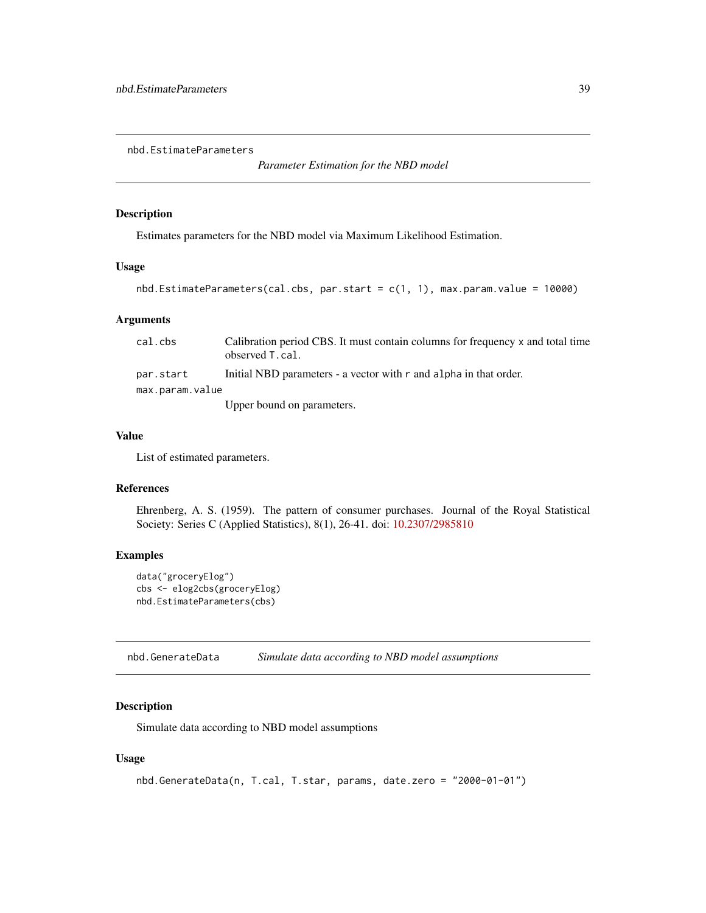<span id="page-38-0"></span>nbd.EstimateParameters

*Parameter Estimation for the NBD model*

#### Description

Estimates parameters for the NBD model via Maximum Likelihood Estimation.

#### Usage

```
nbd.EstimateParameters(cal.cbs, par.start = c(1, 1), max.param.value = 10000)
```
#### Arguments

| cal.cbs         | Calibration period CBS. It must contain columns for frequency x and total time<br>observed T. cal. |
|-----------------|----------------------------------------------------------------------------------------------------|
| par.start       | Initial NBD parameters - a vector with r and alpha in that order.                                  |
| max.param.value |                                                                                                    |
|                 | Upper bound on parameters.                                                                         |

#### Value

List of estimated parameters.

#### References

Ehrenberg, A. S. (1959). The pattern of consumer purchases. Journal of the Royal Statistical Society: Series C (Applied Statistics), 8(1), 26-41. doi: [10.2307/2985810](https://doi.org/10.2307/2985810)

#### Examples

```
data("groceryElog")
cbs <- elog2cbs(groceryElog)
nbd.EstimateParameters(cbs)
```
nbd.GenerateData *Simulate data according to NBD model assumptions*

#### Description

Simulate data according to NBD model assumptions

```
nbd.GenerateData(n, T.cal, T.star, params, date.zero = "2000-01-01")
```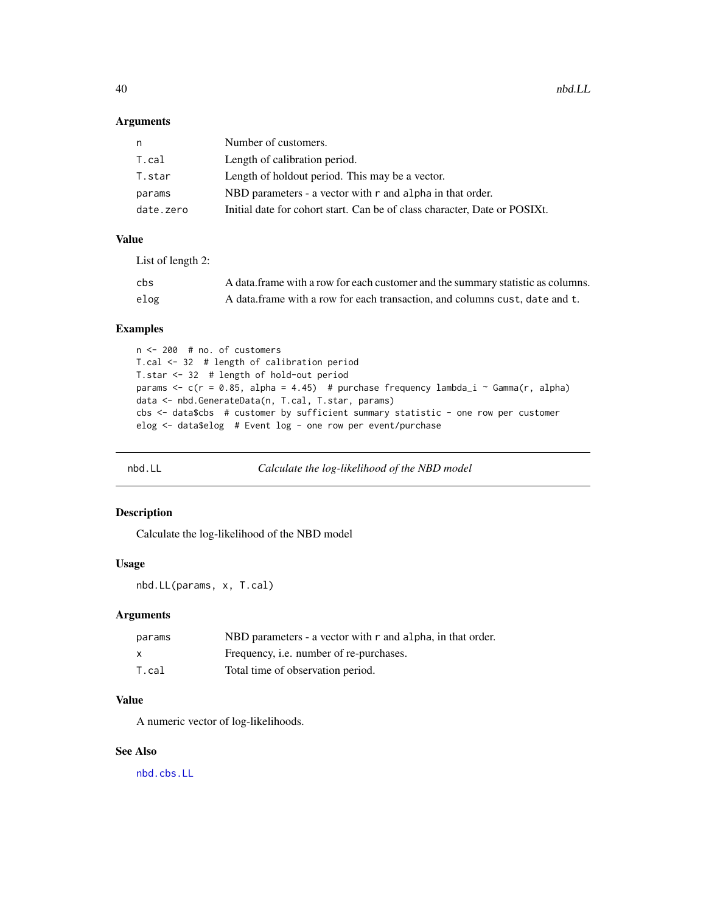<span id="page-39-0"></span>

| n         | Number of customers.                                                      |
|-----------|---------------------------------------------------------------------------|
| T.cal     | Length of calibration period.                                             |
| T.star    | Length of holdout period. This may be a vector.                           |
| params    | NBD parameters - a vector with r and alpha in that order.                 |
| date.zero | Initial date for cohort start. Can be of class character, Date or POSIXt. |
|           |                                                                           |

#### Value

List of length 2:

| cbs  | A data.frame with a row for each customer and the summary statistic as columns. |
|------|---------------------------------------------------------------------------------|
| elog | A data frame with a row for each transaction, and columns cust, date and t.     |

#### Examples

```
n <- 200 # no. of customers
T.cal <- 32 # length of calibration period
T.star <- 32 # length of hold-out period
params \leq c (r = 0.85, alpha = 4.45) # purchase frequency lambda_i \leq Gamma(r, alpha)
data <- nbd.GenerateData(n, T.cal, T.star, params)
cbs <- data$cbs # customer by sufficient summary statistic - one row per customer
elog <- data$elog # Event log - one row per event/purchase
```
nbd.LL *Calculate the log-likelihood of the NBD model*

#### Description

Calculate the log-likelihood of the NBD model

#### Usage

nbd.LL(params, x, T.cal)

#### Arguments

| params       | NBD parameters - a vector with r and alpha, in that order. |
|--------------|------------------------------------------------------------|
| $\mathsf{X}$ | Frequency, <i>i.e.</i> number of re-purchases.             |
| T.cal        | Total time of observation period.                          |

#### Value

A numeric vector of log-likelihoods.

#### See Also

[nbd.cbs.LL](#page-36-1)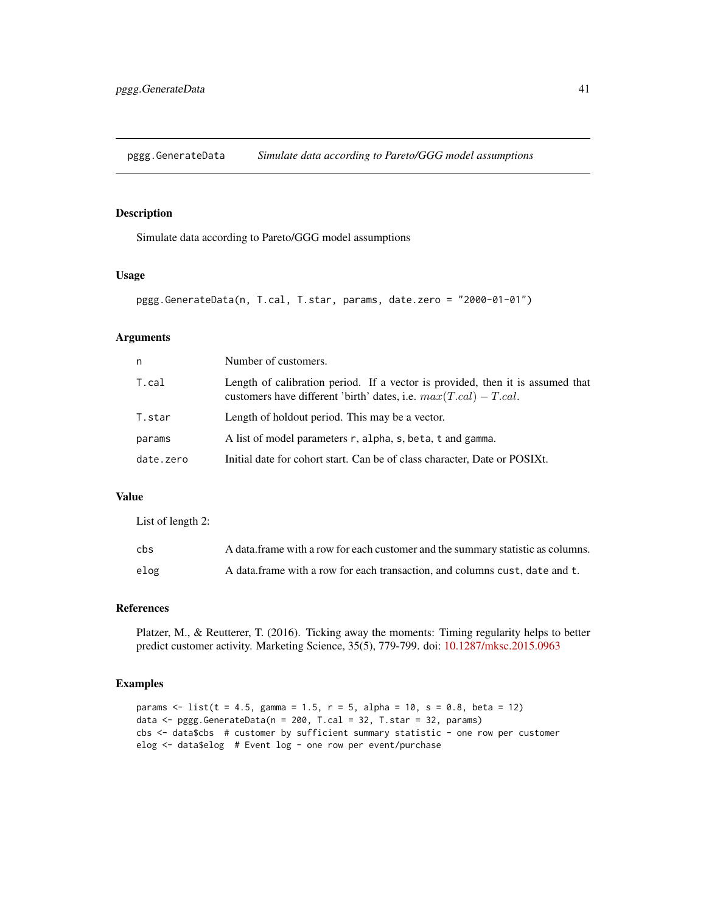<span id="page-40-1"></span><span id="page-40-0"></span>pggg.GenerateData *Simulate data according to Pareto/GGG model assumptions*

#### Description

Simulate data according to Pareto/GGG model assumptions

#### Usage

```
pggg.GenerateData(n, T.cal, T.star, params, date.zero = "2000-01-01")
```
#### Arguments

| n.        | Number of customers.                                                                                                                                    |
|-----------|---------------------------------------------------------------------------------------------------------------------------------------------------------|
| T.cal     | Length of calibration period. If a vector is provided, then it is assumed that<br>customers have different 'birth' dates, i.e. $max(T, cal) - T, cal$ . |
| T.star    | Length of holdout period. This may be a vector.                                                                                                         |
| params    | A list of model parameters r, alpha, s, beta, t and gamma.                                                                                              |
| date.zero | Initial date for cohort start. Can be of class character, Date or POSIXt.                                                                               |

#### Value

List of length 2:

| cbs  | A data. frame with a row for each customer and the summary statistic as columns. |
|------|----------------------------------------------------------------------------------|
| elog | A data frame with a row for each transaction, and columns cust, date and t.      |

#### References

Platzer, M., & Reutterer, T. (2016). Ticking away the moments: Timing regularity helps to better predict customer activity. Marketing Science, 35(5), 779-799. doi: [10.1287/mksc.2015.0963](https://doi.org/10.1287/mksc.2015.0963)

```
params <- list(t = 4.5, gamma = 1.5, r = 5, alpha = 10, s = 0.8, beta = 12)
data \leq pggg.GenerateData(n = 200, T.cal = 32, T.star = 32, params)
cbs <- data$cbs # customer by sufficient summary statistic - one row per customer
elog <- data$elog # Event log - one row per event/purchase
```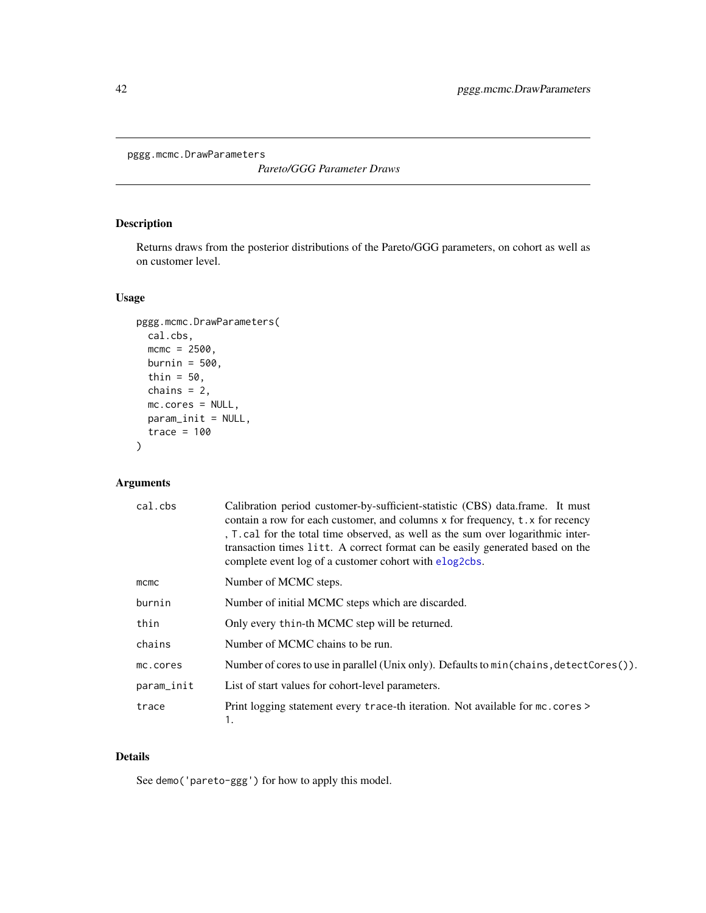<span id="page-41-1"></span><span id="page-41-0"></span>pggg.mcmc.DrawParameters

*Pareto/GGG Parameter Draws*

#### Description

Returns draws from the posterior distributions of the Pareto/GGG parameters, on cohort as well as on customer level.

#### Usage

```
pggg.mcmc.DrawParameters(
 cal.cbs,
 mcmc = 2500,
 burnin = 500,
 thin = 50,
 chains = 2,
 mc.cores = NULL,
 param_init = NULL,
  trace = 100)
```
#### Arguments

| cal.cbs    | Calibration period customer-by-sufficient-statistic (CBS) data.frame. It must<br>contain a row for each customer, and columns x for frequency, t.x for recency<br>, T. cal for the total time observed, as well as the sum over logarithmic inter-<br>transaction times litt. A correct format can be easily generated based on the<br>complete event log of a customer cohort with elog2cbs. |
|------------|-----------------------------------------------------------------------------------------------------------------------------------------------------------------------------------------------------------------------------------------------------------------------------------------------------------------------------------------------------------------------------------------------|
| mcmc       | Number of MCMC steps.                                                                                                                                                                                                                                                                                                                                                                         |
| burnin     | Number of initial MCMC steps which are discarded.                                                                                                                                                                                                                                                                                                                                             |
| thin       | Only every thin-th MCMC step will be returned.                                                                                                                                                                                                                                                                                                                                                |
| chains     | Number of MCMC chains to be run.                                                                                                                                                                                                                                                                                                                                                              |
| mc.cores   | Number of cores to use in parallel (Unix only). Defaults to min (chains, detectCores ()).                                                                                                                                                                                                                                                                                                     |
| param_init | List of start values for cohort-level parameters.                                                                                                                                                                                                                                                                                                                                             |
| trace      | Print logging statement every trace-th iteration. Not available for mc.cores ><br>1.                                                                                                                                                                                                                                                                                                          |

#### Details

See demo('pareto-ggg') for how to apply this model.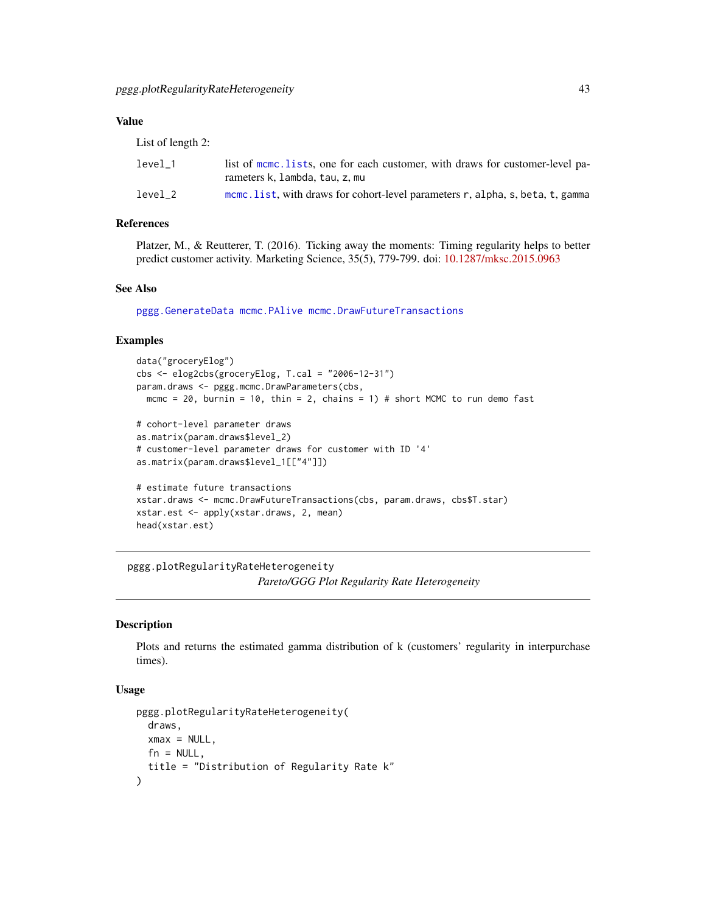#### <span id="page-42-0"></span>Value

List of length 2:

| level 1 | list of mome. Lists, one for each customer, with draws for customer-level pa- |
|---------|-------------------------------------------------------------------------------|
|         | rameters k. lambda, tau, z. mu                                                |
| level 2 | mcmc.list, with draws for cohort-level parameters r, alpha, s, beta, t, gamma |

#### References

Platzer, M., & Reutterer, T. (2016). Ticking away the moments: Timing regularity helps to better predict customer activity. Marketing Science, 35(5), 779-799. doi: [10.1287/mksc.2015.0963](https://doi.org/10.1287/mksc.2015.0963)

#### See Also

[pggg.GenerateData](#page-40-1) [mcmc.PAlive](#page-29-1) [mcmc.DrawFutureTransactions](#page-25-1)

#### Examples

```
data("groceryElog")
cbs <- elog2cbs(groceryElog, T.cal = "2006-12-31")
param.draws <- pggg.mcmc.DrawParameters(cbs,
  mcmc = 20, burnin = 10, thin = 2, chains = 1) # short MCMC to run demo fast
# cohort-level parameter draws
as.matrix(param.draws$level_2)
# customer-level parameter draws for customer with ID '4'
as.matrix(param.draws$level_1[["4"]])
# estimate future transactions
xstar.draws <- mcmc.DrawFutureTransactions(cbs, param.draws, cbs$T.star)
xstar.est <- apply(xstar.draws, 2, mean)
head(xstar.est)
```
pggg.plotRegularityRateHeterogeneity *Pareto/GGG Plot Regularity Rate Heterogeneity*

#### Description

Plots and returns the estimated gamma distribution of k (customers' regularity in interpurchase times).

```
pggg.plotRegularityRateHeterogeneity(
 draws,
 xmax = NULL,
 fn = NULL,title = "Distribution of Regularity Rate k"
)
```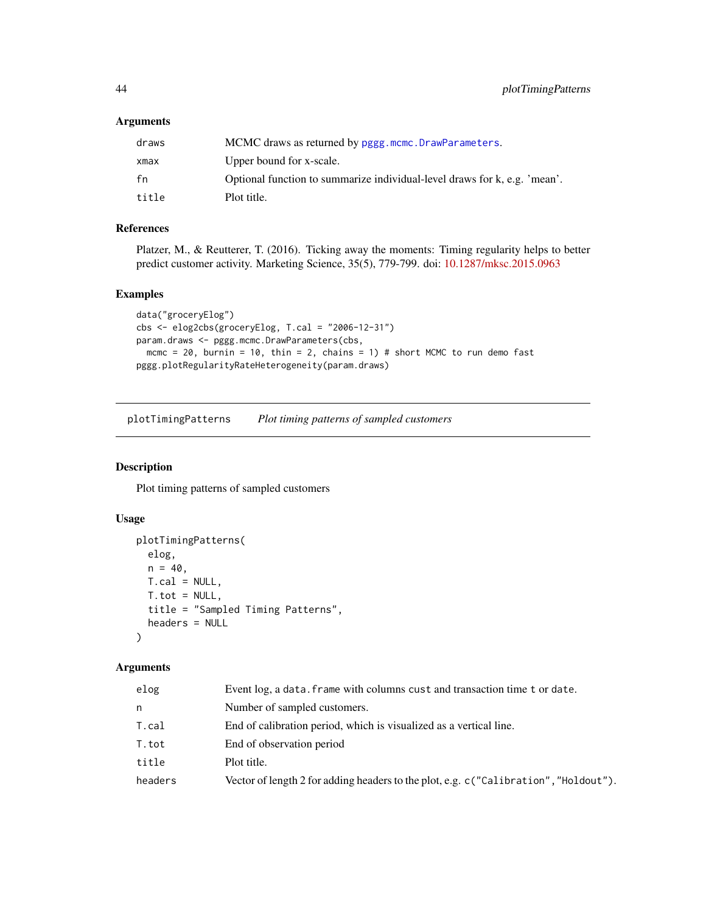<span id="page-43-0"></span>

| draws | MCMC draws as returned by pggg.mcmc.DrawParameters.                       |
|-------|---------------------------------------------------------------------------|
| xmax  | Upper bound for x-scale.                                                  |
| fn    | Optional function to summarize individual-level draws for k, e.g. 'mean'. |
| title | Plot title.                                                               |

#### References

Platzer, M., & Reutterer, T. (2016). Ticking away the moments: Timing regularity helps to better predict customer activity. Marketing Science, 35(5), 779-799. doi: [10.1287/mksc.2015.0963](https://doi.org/10.1287/mksc.2015.0963)

#### Examples

```
data("groceryElog")
cbs <- elog2cbs(groceryElog, T.cal = "2006-12-31")
param.draws <- pggg.mcmc.DrawParameters(cbs,
 mcmc = 20, burnin = 10, thin = 2, chains = 1) # short MCMC to run demo fast
pggg.plotRegularityRateHeterogeneity(param.draws)
```
plotTimingPatterns *Plot timing patterns of sampled customers*

#### Description

Plot timing patterns of sampled customers

#### Usage

```
plotTimingPatterns(
 elog,
 n = 40,T.cal = NULL,T.tot = NULL,
 title = "Sampled Timing Patterns",
 headers = NULL
)
```
#### Arguments

| elog    | Event log, a data. frame with columns cust and transaction time t or date.           |
|---------|--------------------------------------------------------------------------------------|
| n       | Number of sampled customers.                                                         |
| T.cal   | End of calibration period, which is visualized as a vertical line.                   |
| T.tot   | End of observation period                                                            |
| title   | Plot title.                                                                          |
| headers | Vector of length 2 for adding headers to the plot, e.g. c("Calibration", "Holdout"). |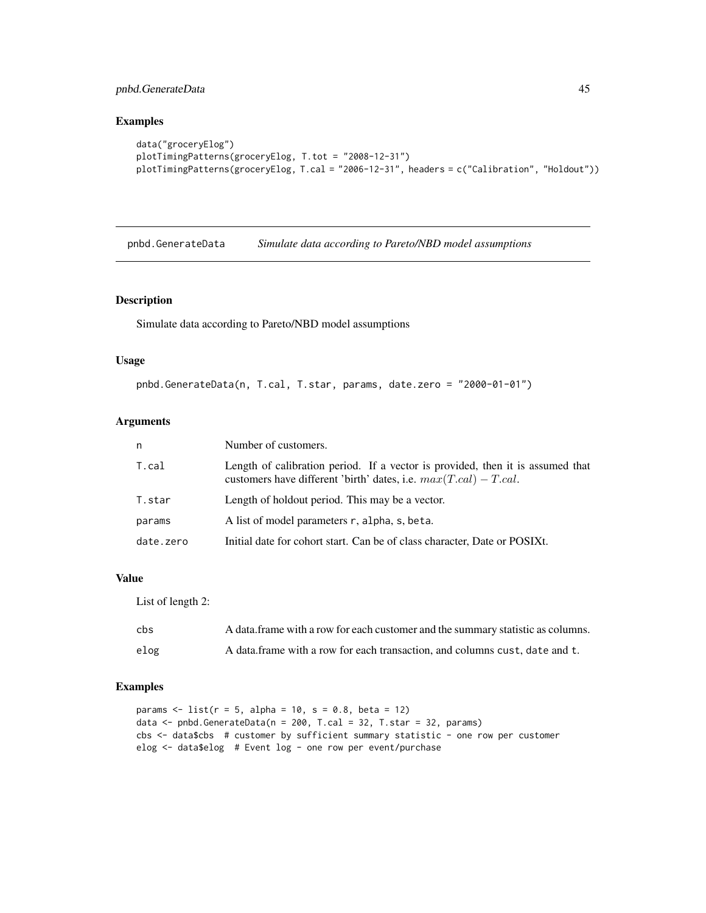#### <span id="page-44-0"></span>pnbd.GenerateData 45

#### Examples

```
data("groceryElog")
plotTimingPatterns(groceryElog, T.tot = "2008-12-31")
plotTimingPatterns(groceryElog, T.cal = "2006-12-31", headers = c("Calibration", "Holdout"))
```
<span id="page-44-1"></span>pnbd.GenerateData *Simulate data according to Pareto/NBD model assumptions*

#### Description

Simulate data according to Pareto/NBD model assumptions

#### Usage

```
pnbd.GenerateData(n, T.cal, T.star, params, date.zero = "2000-01-01")
```
#### Arguments

| n         | Number of customers.                                                                                                                                    |
|-----------|---------------------------------------------------------------------------------------------------------------------------------------------------------|
| T.cal     | Length of calibration period. If a vector is provided, then it is assumed that<br>customers have different 'birth' dates, i.e. $max(T, cal) - T, cal$ . |
| T.star    | Length of holdout period. This may be a vector.                                                                                                         |
| params    | A list of model parameters r, alpha, s, beta.                                                                                                           |
| date.zero | Initial date for cohort start. Can be of class character, Date or POSIXt.                                                                               |

#### Value

List of length 2:

| cbs  | A data. frame with a row for each customer and the summary statistic as columns. |
|------|----------------------------------------------------------------------------------|
| elog | A data frame with a row for each transaction, and columns cust, date and t.      |

```
params <- list(r = 5, alpha = 10, s = 0.8, beta = 12)data <- pnbd.GenerateData(n = 200, T.cal = 32, T.star = 32, params)
cbs <- data$cbs # customer by sufficient summary statistic - one row per customer
elog <- data$elog # Event log - one row per event/purchase
```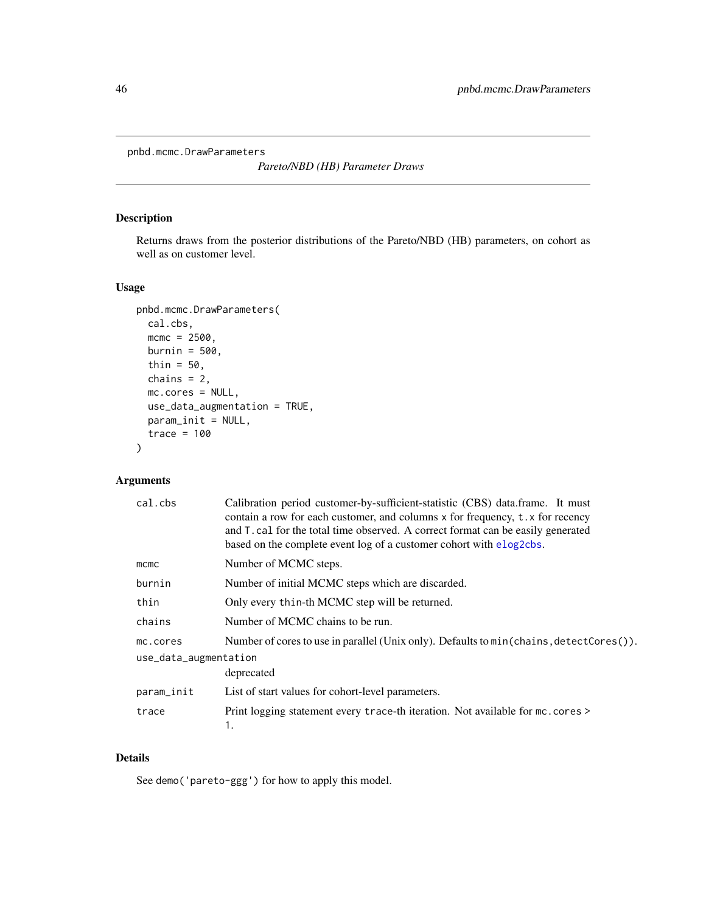<span id="page-45-0"></span>pnbd.mcmc.DrawParameters

*Pareto/NBD (HB) Parameter Draws*

#### Description

Returns draws from the posterior distributions of the Pareto/NBD (HB) parameters, on cohort as well as on customer level.

#### Usage

```
pnbd.mcmc.DrawParameters(
 cal.cbs,
 mcmc = 2500,
 burnin = 500,
  thin = 50,
 chains = 2,
 mc.cores = NULL,
 use_data_augmentation = TRUE,
 param_init = NULL,
  trace = 100)
```
#### Arguments

| cal.cbs               | Calibration period customer-by-sufficient-statistic (CBS) data.frame. It must<br>contain a row for each customer, and columns x for frequency, t.x for recency<br>and T. cal for the total time observed. A correct format can be easily generated<br>based on the complete event log of a customer cohort with elog2cbs. |
|-----------------------|---------------------------------------------------------------------------------------------------------------------------------------------------------------------------------------------------------------------------------------------------------------------------------------------------------------------------|
| mcmc                  | Number of MCMC steps.                                                                                                                                                                                                                                                                                                     |
| burnin                | Number of initial MCMC steps which are discarded.                                                                                                                                                                                                                                                                         |
| thin                  | Only every thin-th MCMC step will be returned.                                                                                                                                                                                                                                                                            |
| chains                | Number of MCMC chains to be run.                                                                                                                                                                                                                                                                                          |
| mc.cores              | Number of cores to use in parallel (Unix only). Defaults to min(chains, detectCores()).                                                                                                                                                                                                                                   |
| use_data_augmentation | deprecated                                                                                                                                                                                                                                                                                                                |
| param_init            | List of start values for cohort-level parameters.                                                                                                                                                                                                                                                                         |
| trace                 | Print logging statement every trace-th iteration. Not available for mc.cores ><br>1.                                                                                                                                                                                                                                      |

#### Details

See demo('pareto-ggg') for how to apply this model.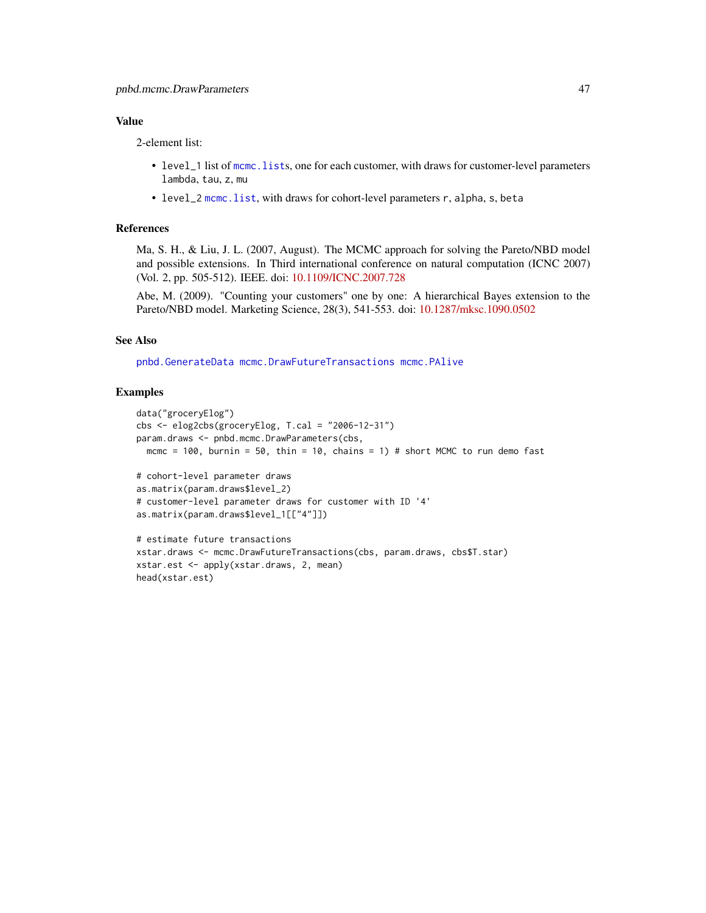#### <span id="page-46-0"></span>Value

2-element list:

- level\_1 list of [mcmc.list](#page-0-0)s, one for each customer, with draws for customer-level parameters lambda, tau, z, mu
- level\_2 [mcmc.list](#page-0-0), with draws for cohort-level parameters r, alpha, s, beta

#### References

Ma, S. H., & Liu, J. L. (2007, August). The MCMC approach for solving the Pareto/NBD model and possible extensions. In Third international conference on natural computation (ICNC 2007) (Vol. 2, pp. 505-512). IEEE. doi: [10.1109/ICNC.2007.728](https://doi.org/10.1109/ICNC.2007.728)

Abe, M. (2009). "Counting your customers" one by one: A hierarchical Bayes extension to the Pareto/NBD model. Marketing Science, 28(3), 541-553. doi: [10.1287/mksc.1090.0502](https://doi.org/10.1287/mksc.1090.0502)

#### See Also

[pnbd.GenerateData](#page-44-1) [mcmc.DrawFutureTransactions](#page-25-1) [mcmc.PAlive](#page-29-1)

#### Examples

```
data("groceryElog")
cbs <- elog2cbs(groceryElog, T.cal = "2006-12-31")
param.draws <- pnbd.mcmc.DrawParameters(cbs,
  mcmc = 100, burnin = 50, thin = 10, chains = 1) # short MCMC to run demo fast
# cohort-level parameter draws
as.matrix(param.draws$level_2)
# customer-level parameter draws for customer with ID '4'
as.matrix(param.draws$level_1[["4"]])
# estimate future transactions
xstar.draws <- mcmc.DrawFutureTransactions(cbs, param.draws, cbs$T.star)
xstar.est <- apply(xstar.draws, 2, mean)
```
head(xstar.est)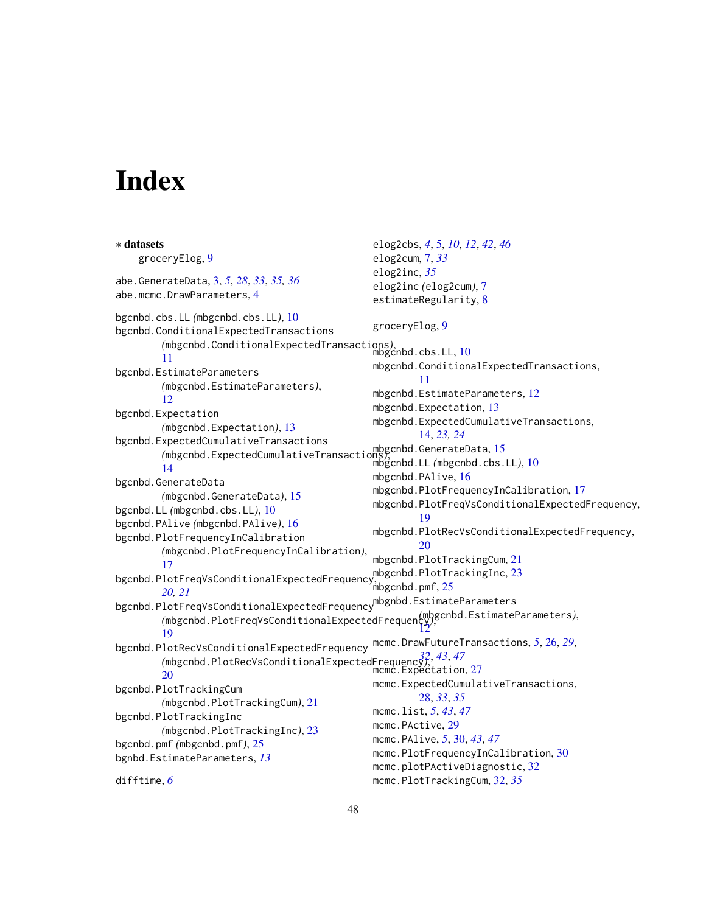# <span id="page-47-0"></span>Index

∗ datasets groceryElog, [9](#page-8-0) abe.GenerateData, [3,](#page-2-0) *[5](#page-4-0)*, *[28](#page-27-0)*, *[33](#page-32-0)*, *[35,](#page-34-0) [36](#page-35-0)* abe.mcmc.DrawParameters, [4](#page-3-0) bgcnbd.cbs.LL *(*mbgcnbd.cbs.LL*)*, [10](#page-9-0) bgcnbd.ConditionalExpectedTransactions *(*mbgcnbd.ConditionalExpectedTransactions*)*, mbgcnbd.cbs.LL, 10<br>[11](#page-10-0) mbgcnbd.cbs.LL, [10](#page-9-0) bgcnbd.EstimateParameters *(*mbgcnbd.EstimateParameters*)*, [12](#page-11-0) bgcnbd.Expectation *(*mbgcnbd.Expectation*)*, [13](#page-12-0) bgcnbd.ExpectedCumulativeTransactions *(*mbgcnbd.ExpectedCumulativeTransactions*)*, mbgcnbd.GenerateData, [15](#page-14-0) [14](#page-13-0) bgcnbd.GenerateData *(*mbgcnbd.GenerateData*)*, [15](#page-14-0) bgcnbd.LL *(*mbgcnbd.cbs.LL*)*, [10](#page-9-0) bgcnbd.PAlive *(*mbgcnbd.PAlive*)*, [16](#page-15-0) bgcnbd.PlotFrequencyInCalibration *(*mbgcnbd.PlotFrequencyInCalibration*)*, [17](#page-16-0) bgcnbd.PlotFreqVsConditionalExpectedFrequency, mbgcnbd.PlotTrackingInc, [23](#page-22-0) *[20,](#page-19-0) [21](#page-20-0)* bgcnbd.PlotFreqVsConditionalExpectedFrequency mbgnbd.EstimateParameters *(*mbgcnbd.PlotFreqVsConditionalExpectedFrequency*)*, *(*mbgcnbd.EstimateParameters*)*, [19](#page-18-0) bgcnbd.PlotRecVsConditionalExpectedFrequency *(*mbgcnbd.PlotRecVsConditionalExpectedFrequency*)*, *[32](#page-31-0)*, *[43](#page-42-0)*, *[47](#page-46-0)* [20](#page-19-0) bgcnbd.PlotTrackingCum *(*mbgcnbd.PlotTrackingCum*)*, [21](#page-20-0) bgcnbd.PlotTrackingInc *(*mbgcnbd.PlotTrackingInc*)*, [23](#page-22-0) bgcnbd.pmf *(*mbgcnbd.pmf*)*, [25](#page-24-0) bgnbd.EstimateParameters, *[13](#page-12-0)* difftime, *[6](#page-5-0)* elog2cbs, *[4](#page-3-0)*, [5,](#page-4-0) *[10](#page-9-0)*, *[12](#page-11-0)*, *[42](#page-41-0)*, *[46](#page-45-0)* elog2cum, [7,](#page-6-0) *[33](#page-32-0)* elog2inc, *[35](#page-34-0)* elog2inc *(*elog2cum*)*, [7](#page-6-0) estimateRegularity, [8](#page-7-0) groceryElog, [9](#page-8-0) mbgcnbd.ConditionalExpectedTransactions, [11](#page-10-0) mbgcnbd.EstimateParameters, [12](#page-11-0) mbgcnbd.Expectation, [13](#page-12-0) mbgcnbd.ExpectedCumulativeTransactions, [14,](#page-13-0) *[23,](#page-22-0) [24](#page-23-0)* mbgcnbd.LL *(*mbgcnbd.cbs.LL*)*, [10](#page-9-0) mbgcnbd.PAlive, [16](#page-15-0) mbgcnbd.PlotFrequencyInCalibration, [17](#page-16-0) mbgcnbd.PlotFreqVsConditionalExpectedFrequency, [19](#page-18-0) mbgcnbd.PlotRecVsConditionalExpectedFrequency, [20](#page-19-0) mbgcnbd.PlotTrackingCum, [21](#page-20-0)  $m$ bgcnbd.pmf,  $25$ [12](#page-11-0) mcmc.DrawFutureTransactions, *[5](#page-4-0)*, [26,](#page-25-0) *[29](#page-28-0)*, mcmc. Expectation, [27](#page-26-0) mcmc.ExpectedCumulativeTransactions, [28,](#page-27-0) *[33](#page-32-0)*, *[35](#page-34-0)* mcmc.list, *[5](#page-4-0)*, *[43](#page-42-0)*, *[47](#page-46-0)* mcmc.PActive, [29](#page-28-0) mcmc.PAlive, *[5](#page-4-0)*, [30,](#page-29-0) *[43](#page-42-0)*, *[47](#page-46-0)* mcmc.PlotFrequencyInCalibration, [30](#page-29-0) mcmc.plotPActiveDiagnostic, [32](#page-31-0) mcmc.PlotTrackingCum, [32,](#page-31-0) *[35](#page-34-0)*